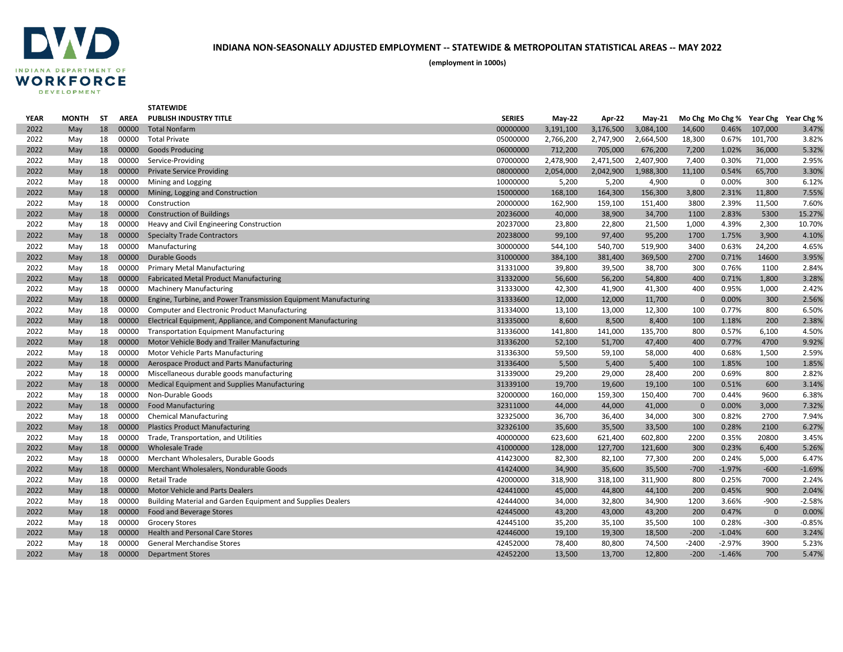

|             |              |    |             | <b>STATEWIDE</b>                                                |               |               |           |           |              |          |             |                                     |
|-------------|--------------|----|-------------|-----------------------------------------------------------------|---------------|---------------|-----------|-----------|--------------|----------|-------------|-------------------------------------|
| <b>YEAR</b> | <b>MONTH</b> | ST | <b>AREA</b> | <b>PUBLISH INDUSTRY TITLE</b>                                   | <b>SERIES</b> | <b>May-22</b> | Apr-22    | $May-21$  |              |          |             | Mo Chg Mo Chg % Year Chg Year Chg % |
| 2022        | May          | 18 | 00000       | <b>Total Nonfarm</b>                                            | 00000000      | 3,191,100     | 3,176,500 | 3,084,100 | 14,600       | 0.46%    | 107,000     | 3.47%                               |
| 2022        | May          | 18 | 00000       | <b>Total Private</b>                                            | 05000000      | 2,766,200     | 2,747,900 | 2,664,500 | 18,300       | 0.67%    | 101,700     | 3.82%                               |
| 2022        | May          | 18 | 00000       | <b>Goods Producing</b>                                          | 06000000      | 712,200       | 705,000   | 676,200   | 7,200        | 1.02%    | 36,000      | 5.32%                               |
| 2022        | May          | 18 | 00000       | Service-Providing                                               | 07000000      | 2,478,900     | 2,471,500 | 2,407,900 | 7,400        | 0.30%    | 71,000      | 2.95%                               |
| 2022        | May          | 18 | 00000       | <b>Private Service Providing</b>                                | 08000000      | 2,054,000     | 2,042,900 | 1,988,300 | 11,100       | 0.54%    | 65,700      | 3.30%                               |
| 2022        | May          | 18 | 00000       | Mining and Logging                                              | 10000000      | 5,200         | 5,200     | 4,900     | $\mathbf 0$  | 0.00%    | 300         | 6.12%                               |
| 2022        | May          | 18 | 00000       | Mining, Logging and Construction                                | 15000000      | 168,100       | 164,300   | 156,300   | 3,800        | 2.31%    | 11,800      | 7.55%                               |
| 2022        | May          | 18 | 00000       | Construction                                                    | 20000000      | 162,900       | 159,100   | 151,400   | 3800         | 2.39%    | 11,500      | 7.60%                               |
| 2022        | May          | 18 | 00000       | <b>Construction of Buildings</b>                                | 20236000      | 40,000        | 38,900    | 34,700    | 1100         | 2.83%    | 5300        | 15.27%                              |
| 2022        | May          | 18 | 00000       | Heavy and Civil Engineering Construction                        | 20237000      | 23,800        | 22,800    | 21,500    | 1,000        | 4.39%    | 2,300       | 10.70%                              |
| 2022        | May          | 18 | 00000       | <b>Specialty Trade Contractors</b>                              | 20238000      | 99,100        | 97,400    | 95,200    | 1700         | 1.75%    | 3,900       | 4.10%                               |
| 2022        | May          | 18 | 00000       | Manufacturing                                                   | 30000000      | 544,100       | 540,700   | 519,900   | 3400         | 0.63%    | 24,200      | 4.65%                               |
| 2022        | May          | 18 | 00000       | Durable Goods                                                   | 31000000      | 384,100       | 381,400   | 369,500   | 2700         | 0.71%    | 14600       | 3.95%                               |
| 2022        | May          | 18 | 00000       | <b>Primary Metal Manufacturing</b>                              | 31331000      | 39,800        | 39,500    | 38,700    | 300          | 0.76%    | 1100        | 2.84%                               |
| 2022        | May          | 18 | 00000       | <b>Fabricated Metal Product Manufacturing</b>                   | 31332000      | 56,600        | 56,200    | 54,800    | 400          | 0.71%    | 1,800       | 3.28%                               |
| 2022        | May          | 18 | 00000       | <b>Machinery Manufacturing</b>                                  | 31333000      | 42,300        | 41,900    | 41,300    | 400          | 0.95%    | 1,000       | 2.42%                               |
| 2022        | May          | 18 | 00000       | Engine, Turbine, and Power Transmission Equipment Manufacturing | 31333600      | 12,000        | 12,000    | 11,700    | $\mathbf 0$  | 0.00%    | 300         | 2.56%                               |
| 2022        | May          | 18 | 00000       | <b>Computer and Electronic Product Manufacturing</b>            | 31334000      | 13,100        | 13,000    | 12,300    | 100          | 0.77%    | 800         | 6.50%                               |
| 2022        | May          | 18 | 00000       | Electrical Equipment, Appliance, and Component Manufacturing    | 31335000      | 8,600         | 8,500     | 8,400     | 100          | 1.18%    | 200         | 2.38%                               |
| 2022        | May          | 18 | 00000       | <b>Transportation Equipment Manufacturing</b>                   | 31336000      | 141,800       | 141,000   | 135,700   | 800          | 0.57%    | 6,100       | 4.50%                               |
| 2022        | May          | 18 | 00000       | Motor Vehicle Body and Trailer Manufacturing                    | 31336200      | 52,100        | 51,700    | 47,400    | 400          | 0.77%    | 4700        | 9.92%                               |
| 2022        | May          | 18 | 00000       | Motor Vehicle Parts Manufacturing                               | 31336300      | 59,500        | 59,100    | 58,000    | 400          | 0.68%    | 1,500       | 2.59%                               |
| 2022        | May          | 18 | 00000       | Aerospace Product and Parts Manufacturing                       | 31336400      | 5,500         | 5,400     | 5,400     | 100          | 1.85%    | 100         | 1.85%                               |
| 2022        | May          | 18 | 00000       | Miscellaneous durable goods manufacturing                       | 31339000      | 29,200        | 29,000    | 28,400    | 200          | 0.69%    | 800         | 2.82%                               |
| 2022        | May          | 18 | 00000       | <b>Medical Equipment and Supplies Manufacturing</b>             | 31339100      | 19,700        | 19,600    | 19,100    | 100          | 0.51%    | 600         | 3.14%                               |
| 2022        | May          | 18 | 00000       | Non-Durable Goods                                               | 32000000      | 160,000       | 159,300   | 150,400   | 700          | 0.44%    | 9600        | 6.38%                               |
| 2022        | May          | 18 | 00000       | <b>Food Manufacturing</b>                                       | 32311000      | 44,000        | 44,000    | 41,000    | $\mathbf{0}$ | 0.00%    | 3,000       | 7.32%                               |
| 2022        | May          | 18 | 00000       | <b>Chemical Manufacturing</b>                                   | 32325000      | 36,700        | 36,400    | 34,000    | 300          | 0.82%    | 2700        | 7.94%                               |
| 2022        | May          | 18 | 00000       | <b>Plastics Product Manufacturing</b>                           | 32326100      | 35,600        | 35,500    | 33,500    | 100          | 0.28%    | 2100        | 6.27%                               |
| 2022        | May          | 18 | 00000       | Trade, Transportation, and Utilities                            | 40000000      | 623,600       | 621,400   | 602,800   | 2200         | 0.35%    | 20800       | 3.45%                               |
| 2022        | May          | 18 | 00000       | <b>Wholesale Trade</b>                                          | 41000000      | 128,000       | 127,700   | 121,600   | 300          | 0.23%    | 6,400       | 5.26%                               |
| 2022        | May          | 18 | 00000       | Merchant Wholesalers, Durable Goods                             | 41423000      | 82,300        | 82,100    | 77,300    | 200          | 0.24%    | 5,000       | 6.47%                               |
| 2022        | May          | 18 | 00000       | Merchant Wholesalers, Nondurable Goods                          | 41424000      | 34,900        | 35,600    | 35,500    | $-700$       | $-1.97%$ | $-600$      | $-1.69%$                            |
| 2022        | May          | 18 | 00000       | <b>Retail Trade</b>                                             | 42000000      | 318,900       | 318,100   | 311,900   | 800          | 0.25%    | 7000        | 2.24%                               |
| 2022        | May          | 18 | 00000       | <b>Motor Vehicle and Parts Dealers</b>                          | 42441000      | 45,000        | 44,800    | 44,100    | 200          | 0.45%    | 900         | 2.04%                               |
| 2022        | May          | 18 | 00000       | Building Material and Garden Equipment and Supplies Dealers     | 42444000      | 34,000        | 32,800    | 34,900    | 1200         | 3.66%    | $-900$      | $-2.58%$                            |
| 2022        | May          | 18 | 00000       | Food and Beverage Stores                                        | 42445000      | 43,200        | 43,000    | 43,200    | 200          | 0.47%    | $\mathbf 0$ | 0.00%                               |
| 2022        | May          | 18 | 00000       | <b>Grocery Stores</b>                                           | 42445100      | 35,200        | 35,100    | 35,500    | 100          | 0.28%    | $-300$      | $-0.85%$                            |
| 2022        | May          | 18 | 00000       | <b>Health and Personal Care Stores</b>                          | 42446000      | 19,100        | 19,300    | 18,500    | $-200$       | $-1.04%$ | 600         | 3.24%                               |
| 2022        | May          | 18 | 00000       | <b>General Merchandise Stores</b>                               | 42452000      | 78,400        | 80,800    | 74,500    | $-2400$      | $-2.97%$ | 3900        | 5.23%                               |
| 2022        | May          | 18 | 00000       | <b>Department Stores</b>                                        | 42452200      | 13,500        | 13,700    | 12,800    | $-200$       | $-1.46%$ | 700         | 5.47%                               |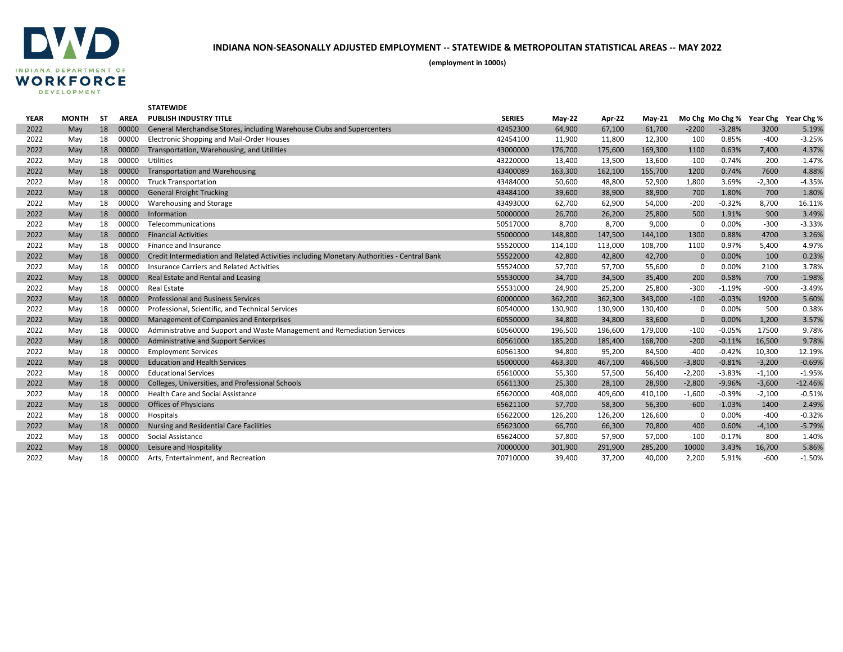

|             |              |           |             | <b>STATEWIDE</b>                                                                           |               |          |         |          |              |                 |          |                     |
|-------------|--------------|-----------|-------------|--------------------------------------------------------------------------------------------|---------------|----------|---------|----------|--------------|-----------------|----------|---------------------|
| <b>YEAR</b> | <b>MONTH</b> | <b>ST</b> | <b>AREA</b> | <b>PUBLISH INDUSTRY TITLE</b>                                                              | <b>SERIES</b> | $May-22$ | Apr-22  | $May-21$ |              | Mo Chg Mo Chg % |          | Year Chg Year Chg % |
| 2022        | May          | 18        | 00000       | General Merchandise Stores, including Warehouse Clubs and Supercenters                     | 42452300      | 64,900   | 67,100  | 61,700   | $-2200$      | $-3.28%$        | 3200     | 5.19%               |
| 2022        | Mav          | 18        | 00000       | Electronic Shopping and Mail-Order Houses                                                  | 42454100      | 11,900   | 11,800  | 12,300   | 100          | 0.85%           | $-400$   | $-3.25%$            |
| 2022        | May          | 18        | 00000       | Transportation, Warehousing, and Utilities                                                 | 43000000      | 176,700  | 175,600 | 169,300  | 1100         | 0.63%           | 7,400    | 4.37%               |
| 2022        | May          | 18        | 00000       | Utilities                                                                                  | 43220000      | 13,400   | 13,500  | 13,600   | $-100$       | $-0.74%$        | $-200$   | $-1.47%$            |
| 2022        | May          | 18        | 00000       | <b>Transportation and Warehousing</b>                                                      | 43400089      | 163,300  | 162,100 | 155,700  | 1200         | 0.74%           | 7600     | 4.88%               |
| 2022        | May          | 18        | 00000       | <b>Truck Transportation</b>                                                                | 43484000      | 50,600   | 48,800  | 52,900   | 1,800        | 3.69%           | $-2,300$ | $-4.35%$            |
| 2022        | May          | 18        | 00000       | <b>General Freight Trucking</b>                                                            | 43484100      | 39,600   | 38,900  | 38,900   | 700          | 1.80%           | 700      | 1.80%               |
| 2022        | May          | 18        | 00000       | Warehousing and Storage                                                                    | 43493000      | 62,700   | 62,900  | 54,000   | $-200$       | $-0.32%$        | 8,700    | 16.11%              |
| 2022        | May          | 18        | 00000       | Information                                                                                | 50000000      | 26,700   | 26,200  | 25,800   | 500          | 1.91%           | 900      | 3.49%               |
| 2022        | May          | 18        | 00000       | Telecommunications                                                                         | 50517000      | 8,700    | 8,700   | 9,000    | $\mathbf 0$  | 0.00%           | $-300$   | $-3.33%$            |
| 2022        | May          | 18        | 00000       | <b>Financial Activities</b>                                                                | 55000000      | 148,800  | 147,500 | 144,100  | 1300         | 0.88%           | 4700     | 3.26%               |
| 2022        | May          | 18        | 00000       | Finance and Insurance                                                                      | 55520000      | 114,100  | 113,000 | 108,700  | 1100         | 0.97%           | 5,400    | 4.97%               |
| 2022        | May          | 18        | 00000       | Credit Intermediation and Related Activities including Monetary Authorities - Central Bank | 55522000      | 42,800   | 42,800  | 42,700   | $\mathbf{0}$ | 0.00%           | 100      | 0.23%               |
| 2022        | May          | 18        | 00000       | Insurance Carriers and Related Activities                                                  | 55524000      | 57,700   | 57,700  | 55,600   | 0            | 0.00%           | 2100     | 3.78%               |
| 2022        | May          | 18        | 00000       | Real Estate and Rental and Leasing                                                         | 55530000      | 34,700   | 34,500  | 35,400   | 200          | 0.58%           | $-700$   | $-1.98%$            |
| 2022        | May          | 18        | 00000       | <b>Real Estate</b>                                                                         | 55531000      | 24,900   | 25,200  | 25,800   | $-300$       | $-1.19%$        | $-900$   | $-3.49%$            |
| 2022        | May          | 18        | 00000       | <b>Professional and Business Services</b>                                                  | 60000000      | 362,200  | 362,300 | 343,000  | $-100$       | $-0.03%$        | 19200    | 5.60%               |
| 2022        | May          | 18        | 00000       | Professional, Scientific, and Technical Services                                           | 60540000      | 130,900  | 130,900 | 130,400  | 0            | 0.00%           | 500      | 0.38%               |
| 2022        | May          | 18        | 00000       | Management of Companies and Enterprises                                                    | 60550000      | 34,800   | 34,800  | 33,600   | $\mathbf{0}$ | 0.00%           | 1,200    | 3.57%               |
| 2022        | May          | 18        | 00000       | Administrative and Support and Waste Management and Remediation Services                   | 60560000      | 196,500  | 196,600 | 179,000  | $-100$       | $-0.05%$        | 17500    | 9.78%               |
| 2022        | May          | 18        | 00000       | Administrative and Support Services                                                        | 60561000      | 185,200  | 185,400 | 168,700  | $-200$       | $-0.11%$        | 16,500   | 9.78%               |
| 2022        | May          | 18        | 00000       | <b>Employment Services</b>                                                                 | 60561300      | 94,800   | 95,200  | 84,500   | $-400$       | $-0.42%$        | 10,300   | 12.19%              |
| 2022        | May          | 18        | 00000       | <b>Education and Health Services</b>                                                       | 65000000      | 463,300  | 467,100 | 466,500  | $-3,800$     | $-0.81%$        | $-3,200$ | $-0.69%$            |
| 2022        | May          | 18        | 00000       | <b>Educational Services</b>                                                                | 65610000      | 55,300   | 57,500  | 56,400   | $-2,200$     | $-3.83%$        | $-1,100$ | $-1.95%$            |
| 2022        | May          | 18        | 00000       | Colleges, Universities, and Professional Schools                                           | 65611300      | 25,300   | 28,100  | 28,900   | $-2,800$     | $-9.96%$        | $-3,600$ | $-12.46%$           |
| 2022        | May          | 18        | 00000       | <b>Health Care and Social Assistance</b>                                                   | 65620000      | 408,000  | 409,600 | 410,100  | $-1,600$     | $-0.39%$        | $-2,100$ | $-0.51%$            |
| 2022        | May          | 18        | 00000       | <b>Offices of Physicians</b>                                                               | 65621100      | 57,700   | 58,300  | 56,300   | $-600$       | $-1.03%$        | 1400     | 2.49%               |
| 2022        | May          | 18        | 00000       | Hospitals                                                                                  | 65622000      | 126,200  | 126,200 | 126,600  | $\mathbf 0$  | 0.00%           | $-400$   | $-0.32%$            |
| 2022        | May          | 18        | 00000       | <b>Nursing and Residential Care Facilities</b>                                             | 65623000      | 66,700   | 66,300  | 70,800   | 400          | 0.60%           | $-4,100$ | $-5.79%$            |
| 2022        | May          | 18        | 00000       | Social Assistance                                                                          | 65624000      | 57,800   | 57,900  | 57,000   | $-100$       | $-0.17%$        | 800      | 1.40%               |
| 2022        | May          | 18        | 00000       | Leisure and Hospitality                                                                    | 70000000      | 301,900  | 291,900 | 285,200  | 10000        | 3.43%           | 16,700   | 5.86%               |
| 2022        | Mav          | 18        | 00000       | Arts, Entertainment, and Recreation                                                        | 70710000      | 39,400   | 37,200  | 40,000   | 2,200        | 5.91%           | $-600$   | $-1.50%$            |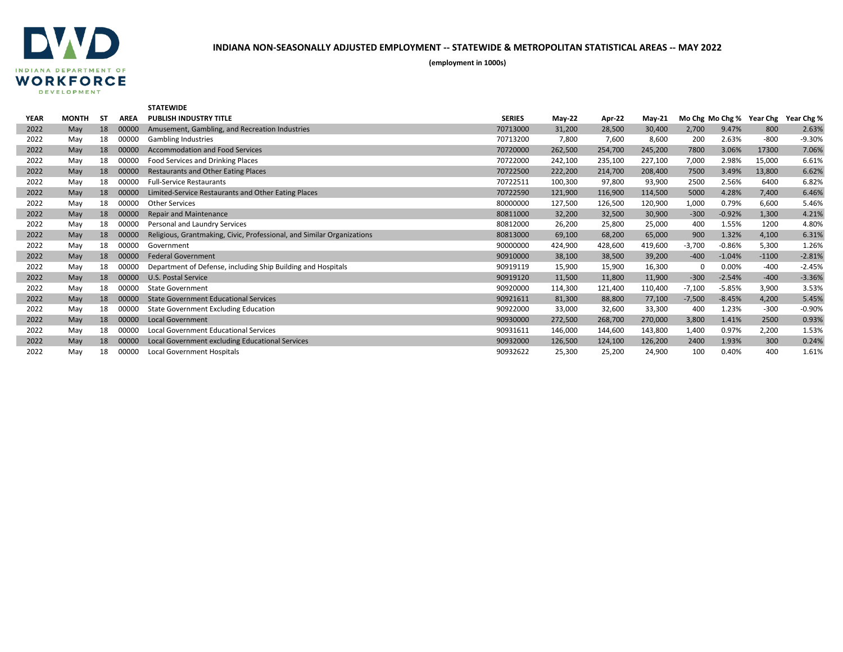

|             |              |    |             | <b>STATEWIDE</b>                                                       |               |          |         |          |                 |          |          |            |
|-------------|--------------|----|-------------|------------------------------------------------------------------------|---------------|----------|---------|----------|-----------------|----------|----------|------------|
| <b>YEAR</b> | <b>MONTH</b> | SΤ | <b>AREA</b> | <b>PUBLISH INDUSTRY TITLE</b>                                          | <b>SERIES</b> | $May-22$ | Apr-22  | $Mav-21$ | Mo Chg Mo Chg % |          | Year Chg | Year Chg % |
| 2022        | May          | 18 | 00000       | Amusement, Gambling, and Recreation Industries                         | 70713000      | 31,200   | 28,500  | 30,400   | 2,700           | 9.47%    | 800      | 2.63%      |
| 2022        | May          | 18 | 00000       | <b>Gambling Industries</b>                                             | 70713200      | 7,800    | 7,600   | 8,600    | 200             | 2.63%    | $-800$   | $-9.30%$   |
| 2022        | May          | 18 | 00000       | <b>Accommodation and Food Services</b>                                 | 70720000      | 262,500  | 254,700 | 245,200  | 7800            | 3.06%    | 17300    | 7.06%      |
| 2022        | May          | 18 | 00000       | Food Services and Drinking Places                                      | 70722000      | 242,100  | 235,100 | 227,100  | 7,000           | 2.98%    | 15,000   | 6.61%      |
| 2022        | May          | 18 | 00000       | Restaurants and Other Eating Places                                    | 70722500      | 222,200  | 214,700 | 208,400  | 7500            | 3.49%    | 13,800   | 6.62%      |
| 2022        | May          | 18 | 00000       | <b>Full-Service Restaurants</b>                                        | 70722511      | 100,300  | 97,800  | 93,900   | 2500            | 2.56%    | 6400     | 6.82%      |
| 2022        | May          | 18 | 00000       | Limited-Service Restaurants and Other Eating Places                    | 70722590      | 121,900  | 116,900 | 114,500  | 5000            | 4.28%    | 7,400    | 6.46%      |
| 2022        | May          | 18 | 00000       | <b>Other Services</b>                                                  | 80000000      | 127,500  | 126,500 | 120,900  | 1,000           | 0.79%    | 6,600    | 5.46%      |
| 2022        | May          | 18 | 00000       | <b>Repair and Maintenance</b>                                          | 80811000      | 32,200   | 32,500  | 30,900   | $-300$          | $-0.92%$ | 1,300    | 4.21%      |
| 2022        | May          | 18 | 00000       | Personal and Laundry Services                                          | 80812000      | 26,200   | 25,800  | 25,000   | 400             | 1.55%    | 1200     | 4.80%      |
| 2022        | May          | 18 | 00000       | Religious, Grantmaking, Civic, Professional, and Similar Organizations | 80813000      | 69,100   | 68,200  | 65,000   | 900             | 1.32%    | 4,100    | 6.31%      |
| 2022        | May          | 18 | 00000       | Government                                                             | 90000000      | 424,900  | 428,600 | 419,600  | $-3,700$        | $-0.86%$ | 5,300    | 1.26%      |
| 2022        | May          | 18 | 00000       | <b>Federal Government</b>                                              | 90910000      | 38,100   | 38,500  | 39,200   | $-400$          | $-1.04%$ | $-1100$  | $-2.81%$   |
| 2022        | May          | 18 | 00000       | Department of Defense, including Ship Building and Hospitals           | 90919119      | 15,900   | 15,900  | 16,300   | $\Omega$        | 0.00%    | $-400$   | $-2.45%$   |
| 2022        | May          | 18 | 00000       | U.S. Postal Service                                                    | 90919120      | 11,500   | 11,800  | 11,900   | $-300$          | $-2.54%$ | $-400$   | $-3.36%$   |
| 2022        | May          | 18 | 00000       | <b>State Government</b>                                                | 90920000      | 114,300  | 121,400 | 110,400  | $-7,100$        | $-5.85%$ | 3,900    | 3.53%      |
| 2022        | May          | 18 | 00000       | <b>State Government Educational Services</b>                           | 90921611      | 81,300   | 88,800  | 77,100   | $-7,500$        | $-8.45%$ | 4,200    | 5.45%      |
| 2022        | May          | 18 | 00000       | <b>State Government Excluding Education</b>                            | 90922000      | 33,000   | 32,600  | 33,300   | 400             | 1.23%    | $-300$   | $-0.90%$   |
| 2022        | May          | 18 | 00000       | <b>Local Government</b>                                                | 90930000      | 272,500  | 268,700 | 270,000  | 3,800           | 1.41%    | 2500     | 0.93%      |
| 2022        | May          | 18 | 00000       | Local Government Educational Services                                  | 90931611      | 146,000  | 144,600 | 143,800  | 1,400           | 0.97%    | 2,200    | 1.53%      |
| 2022        | May          | 18 | 00000       | Local Government excluding Educational Services                        | 90932000      | 126,500  | 124,100 | 126,200  | 2400            | 1.93%    | 300      | 0.24%      |
| 2022        | Mav          | 18 | 00000       | Local Government Hospitals                                             | 90932622      | 25,300   | 25,200  | 24,900   | 100             | 0.40%    | 400      | 1.61%      |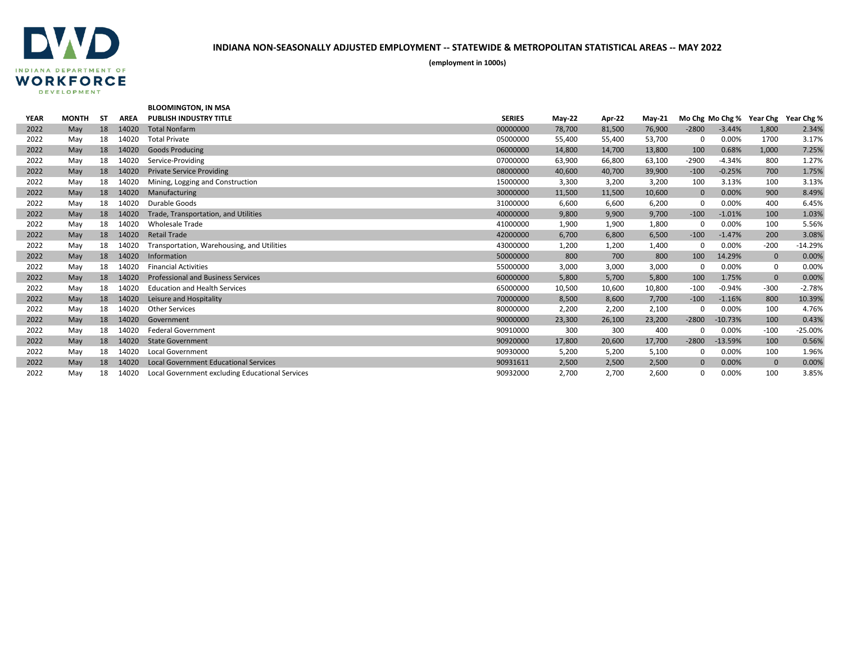

|             |              |     |             | <b>BLOOMINGTON, IN MSA</b>                      |               |          |        |          |              |           |                          |            |
|-------------|--------------|-----|-------------|-------------------------------------------------|---------------|----------|--------|----------|--------------|-----------|--------------------------|------------|
| <b>YEAR</b> | <b>MONTH</b> | -ST | <b>AREA</b> | <b>PUBLISH INDUSTRY TITLE</b>                   | <b>SERIES</b> | $May-22$ | Apr-22 | $May-21$ |              |           | Mo Chg Mo Chg % Year Chg | Year Chg % |
| 2022        | May          | 18  | 14020       | <b>Total Nonfarm</b>                            | 00000000      | 78,700   | 81,500 | 76,900   | $-2800$      | $-3.44%$  | 1,800                    | 2.34%      |
| 2022        | May          | 18  | 14020       | <b>Total Private</b>                            | 05000000      | 55,400   | 55,400 | 53,700   | 0            | 0.00%     | 1700                     | 3.17%      |
| 2022        | May          | 18  | 14020       | <b>Goods Producing</b>                          | 06000000      | 14,800   | 14,700 | 13,800   | 100          | 0.68%     | 1,000                    | 7.25%      |
| 2022        | May          | 18  | 14020       | Service-Providing                               | 07000000      | 63,900   | 66,800 | 63,100   | $-2900$      | $-4.34%$  | 800                      | 1.27%      |
| 2022        | May          | 18  | 14020       | <b>Private Service Providing</b>                | 08000000      | 40,600   | 40,700 | 39,900   | $-100$       | $-0.25%$  | 700                      | 1.75%      |
| 2022        | May          | 18  | 14020       | Mining, Logging and Construction                | 15000000      | 3,300    | 3,200  | 3,200    | 100          | 3.13%     | 100                      | 3.13%      |
| 2022        | May          | 18  | 14020       | Manufacturing                                   | 30000000      | 11,500   | 11,500 | 10,600   | $\mathbf{0}$ | 0.00%     | 900                      | 8.49%      |
| 2022        | May          | 18  | 14020       | Durable Goods                                   | 31000000      | 6,600    | 6,600  | 6,200    | $\Omega$     | 0.00%     | 400                      | 6.45%      |
| 2022        | May          | 18  | 14020       | Trade, Transportation, and Utilities            | 40000000      | 9,800    | 9,900  | 9,700    | $-100$       | $-1.01%$  | 100                      | 1.03%      |
| 2022        | May          | 18  | 14020       | <b>Wholesale Trade</b>                          | 41000000      | 1,900    | 1,900  | 1,800    | $\Omega$     | 0.00%     | 100                      | 5.56%      |
| 2022        | May          | 18  | 14020       | <b>Retail Trade</b>                             | 42000000      | 6,700    | 6,800  | 6,500    | $-100$       | $-1.47%$  | 200                      | 3.08%      |
| 2022        | May          | 18  | 14020       | Transportation, Warehousing, and Utilities      | 43000000      | 1,200    | 1,200  | 1,400    | <sup>0</sup> | 0.00%     | $-200$                   | $-14.29%$  |
| 2022        | May          | 18  | 14020       | Information                                     | 50000000      | 800      | 700    | 800      | 100          | 14.29%    | $\mathbf 0$              | 0.00%      |
| 2022        | May          | 18  | 14020       | <b>Financial Activities</b>                     | 55000000      | 3,000    | 3,000  | 3,000    | 0            | 0.00%     | 0                        | 0.00%      |
| 2022        | May          | 18  | 14020       | <b>Professional and Business Services</b>       | 60000000      | 5,800    | 5,700  | 5,800    | 100          | 1.75%     | $\mathbf 0$              | 0.00%      |
| 2022        | May          | 18  | 14020       | <b>Education and Health Services</b>            | 65000000      | 10,500   | 10,600 | 10,800   | $-100$       | $-0.94%$  | $-300$                   | $-2.78%$   |
| 2022        | May          | 18  | 14020       | Leisure and Hospitality                         | 70000000      | 8,500    | 8,600  | 7,700    | $-100$       | $-1.16%$  | 800                      | 10.39%     |
| 2022        | May          | 18  | 14020       | <b>Other Services</b>                           | 80000000      | 2,200    | 2,200  | 2,100    | $\Omega$     | 0.00%     | 100                      | 4.76%      |
| 2022        | May          | 18  | 14020       | Government                                      | 90000000      | 23,300   | 26,100 | 23,200   | $-2800$      | $-10.73%$ | 100                      | 0.43%      |
| 2022        | May          | 18  | 14020       | <b>Federal Government</b>                       | 90910000      | 300      | 300    | 400      |              | 0.00%     | $-100$                   | $-25.00%$  |
| 2022        | May          | 18  | 14020       | <b>State Government</b>                         | 90920000      | 17,800   | 20,600 | 17,700   | $-2800$      | $-13.59%$ | 100                      | 0.56%      |
| 2022        | May          | 18  | 14020       | <b>Local Government</b>                         | 90930000      | 5,200    | 5,200  | 5,100    | 0            | 0.00%     | 100                      | 1.96%      |
| 2022        | May          | 18  | 14020       | <b>Local Government Educational Services</b>    | 90931611      | 2,500    | 2,500  | 2,500    | $\mathbf{0}$ | 0.00%     | $\mathbf 0$              | 0.00%      |
| 2022        | Mav          | 18  | 14020       | Local Government excluding Educational Services | 90932000      | 2.700    | 2.700  | 2.600    |              | 0.00%     | 100                      | 3.85%      |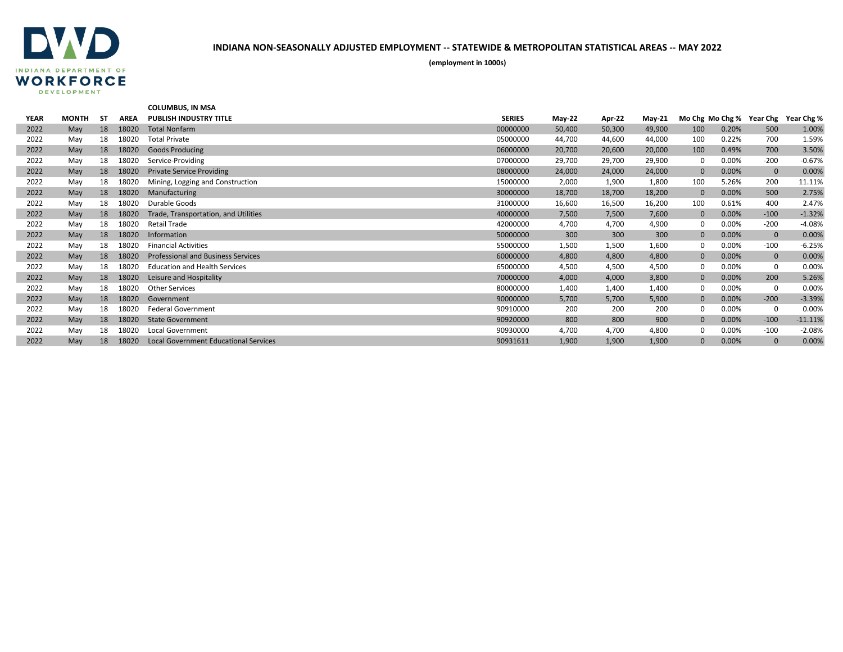

|             |              |           |             | <b>COLUMBUS. IN MSA</b>                      |               |          |        |               |              |       |                          |            |
|-------------|--------------|-----------|-------------|----------------------------------------------|---------------|----------|--------|---------------|--------------|-------|--------------------------|------------|
| <b>YEAR</b> | <b>MONTH</b> | <b>ST</b> | <b>AREA</b> | <b>PUBLISH INDUSTRY TITLE</b>                | <b>SERIES</b> | $May-22$ | Apr-22 | <b>May-21</b> |              |       | Mo Chg Mo Chg % Year Chg | Year Chg % |
| 2022        | May          | 18        | 18020       | <b>Total Nonfarm</b>                         | 00000000      | 50,400   | 50,300 | 49,900        | 100          | 0.20% | 500                      | 1.00%      |
| 2022        | May          | 18        | 18020       | <b>Total Private</b>                         | 05000000      | 44,700   | 44,600 | 44,000        | 100          | 0.22% | 700                      | 1.59%      |
| 2022        | May          | 18        | 18020       | <b>Goods Producing</b>                       | 06000000      | 20,700   | 20,600 | 20,000        | 100          | 0.49% | 700                      | 3.50%      |
| 2022        | May          | 18        | 18020       | Service-Providing                            | 07000000      | 29,700   | 29,700 | 29,900        | 0            | 0.00% | $-200$                   | $-0.67%$   |
| 2022        | May          | 18        | 18020       | <b>Private Service Providing</b>             | 08000000      | 24,000   | 24,000 | 24,000        | $\mathbf{0}$ | 0.00% | $\mathbf 0$              | 0.00%      |
| 2022        | May          | 18        | 18020       | Mining, Logging and Construction             | 15000000      | 2,000    | 1,900  | 1,800         | 100          | 5.26% | 200                      | 11.11%     |
| 2022        | May          | 18        | 18020       | Manufacturing                                | 30000000      | 18,700   | 18,700 | 18,200        | $\mathbf{0}$ | 0.00% | 500                      | 2.75%      |
| 2022        | May          | 18        | 18020       | Durable Goods                                | 31000000      | 16,600   | 16,500 | 16,200        | 100          | 0.61% | 400                      | 2.47%      |
| 2022        | May          | 18        | 18020       | Trade, Transportation, and Utilities         | 40000000      | 7,500    | 7,500  | 7,600         | $\mathbf{0}$ | 0.00% | $-100$                   | $-1.32%$   |
| 2022        | May          | 18        | 18020       | <b>Retail Trade</b>                          | 42000000      | 4,700    | 4,700  | 4,900         | 0            | 0.00% | $-200$                   | $-4.08%$   |
| 2022        | May          | 18        | 18020       | Information                                  | 50000000      | 300      | 300    | 300           | $\mathbf{0}$ | 0.00% | $\mathbf{0}$             | 0.00%      |
| 2022        | May          | 18        | 18020       | <b>Financial Activities</b>                  | 55000000      | 1,500    | 1,500  | 1,600         | 0            | 0.00% | $-100$                   | $-6.25%$   |
| 2022        | May          | 18        | 18020       | <b>Professional and Business Services</b>    | 60000000      | 4,800    | 4,800  | 4,800         | $\mathbf{0}$ | 0.00% | $\mathbf 0$              | 0.00%      |
| 2022        | May          | 18        | 18020       | <b>Education and Health Services</b>         | 65000000      | 4,500    | 4,500  | 4,500         | $\Omega$     | 0.00% | 0                        | 0.00%      |
| 2022        | May          | 18        | 18020       | Leisure and Hospitality                      | 70000000      | 4,000    | 4,000  | 3,800         | $\mathbf{0}$ | 0.00% | 200                      | 5.26%      |
| 2022        | May          | 18        | 18020       | <b>Other Services</b>                        | 80000000      | 1,400    | 1,400  | 1,400         | $\Omega$     | 0.00% | 0                        | 0.00%      |
| 2022        | May          | 18        | 18020       | Government                                   | 90000000      | 5,700    | 5,700  | 5,900         | $\mathbf{0}$ | 0.00% | $-200$                   | $-3.39%$   |
| 2022        | May          | 18        | 18020       | <b>Federal Government</b>                    | 90910000      | 200      | 200    | 200           | $\Omega$     | 0.00% | 0                        | 0.00%      |
| 2022        | May          | 18        | 18020       | <b>State Government</b>                      | 90920000      | 800      | 800    | 900           | $\mathbf{0}$ | 0.00% | $-100$                   | $-11.11%$  |
| 2022        | May          | 18        | 18020       | <b>Local Government</b>                      | 90930000      | 4,700    | 4,700  | 4,800         | 0            | 0.00% | $-100$                   | $-2.08%$   |
| 2022        | May          | 18        | 18020       | <b>Local Government Educational Services</b> | 90931611      | 1,900    | 1,900  | 1,900         | $\Omega$     | 0.00% | $\mathbf{0}$             | 0.00%      |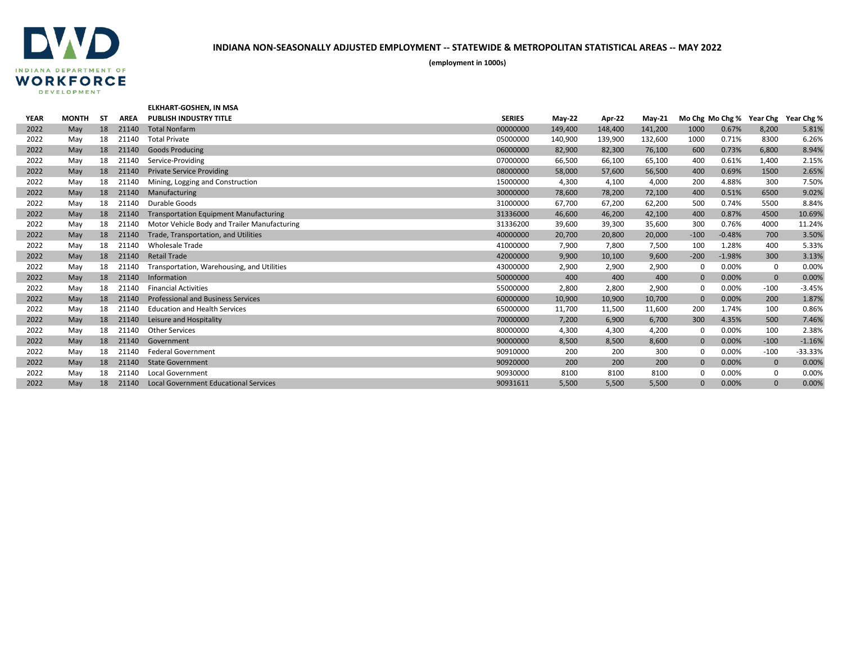

|             |              |     |             | <b>ELKHART-GOSHEN. IN MSA</b>                 |               |          |         |          |              |          |              |                                     |
|-------------|--------------|-----|-------------|-----------------------------------------------|---------------|----------|---------|----------|--------------|----------|--------------|-------------------------------------|
| <b>YEAR</b> | <b>MONTH</b> | -ST | <b>AREA</b> | <b>PUBLISH INDUSTRY TITLE</b>                 | <b>SERIES</b> | $May-22$ | Apr-22  | $May-21$ |              |          |              | Mo Chg Mo Chg % Year Chg Year Chg % |
| 2022        | May          | 18  | 21140       | <b>Total Nonfarm</b>                          | 00000000      | 149,400  | 148,400 | 141,200  | 1000         | 0.67%    | 8,200        | 5.81%                               |
| 2022        | May          | 18  | 21140       | <b>Total Private</b>                          | 05000000      | 140,900  | 139,900 | 132,600  | 1000         | 0.71%    | 8300         | 6.26%                               |
| 2022        | May          | 18  | 21140       | <b>Goods Producing</b>                        | 06000000      | 82,900   | 82,300  | 76,100   | 600          | 0.73%    | 6,800        | 8.94%                               |
| 2022        | May          | 18  | 21140       | Service-Providing                             | 07000000      | 66,500   | 66,100  | 65,100   | 400          | 0.61%    | 1,400        | 2.15%                               |
| 2022        | May          | 18  | 21140       | <b>Private Service Providing</b>              | 08000000      | 58,000   | 57,600  | 56,500   | 400          | 0.69%    | 1500         | 2.65%                               |
| 2022        | May          | 18  | 21140       | Mining, Logging and Construction              | 15000000      | 4,300    | 4,100   | 4,000    | 200          | 4.88%    | 300          | 7.50%                               |
| 2022        | May          | 18  | 21140       | Manufacturing                                 | 30000000      | 78,600   | 78,200  | 72,100   | 400          | 0.51%    | 6500         | 9.02%                               |
| 2022        | May          | 18  | 21140       | Durable Goods                                 | 31000000      | 67,700   | 67,200  | 62,200   | 500          | 0.74%    | 5500         | 8.84%                               |
| 2022        | May          | 18  | 21140       | <b>Transportation Equipment Manufacturing</b> | 31336000      | 46,600   | 46,200  | 42,100   | 400          | 0.87%    | 4500         | 10.69%                              |
| 2022        | Mav          | 18  | 21140       | Motor Vehicle Body and Trailer Manufacturing  | 31336200      | 39,600   | 39,300  | 35,600   | 300          | 0.76%    | 4000         | 11.24%                              |
| 2022        | May          | 18  | 21140       | Trade, Transportation, and Utilities          | 40000000      | 20,700   | 20,800  | 20,000   | $-100$       | $-0.48%$ | 700          | 3.50%                               |
| 2022        | May          | 18  | 21140       | <b>Wholesale Trade</b>                        | 41000000      | 7,900    | 7,800   | 7,500    | 100          | 1.28%    | 400          | 5.33%                               |
| 2022        | May          | 18  | 21140       | <b>Retail Trade</b>                           | 42000000      | 9,900    | 10,100  | 9,600    | $-200$       | $-1.98%$ | 300          | 3.13%                               |
| 2022        | May          | 18  | 21140       | Transportation, Warehousing, and Utilities    | 43000000      | 2,900    | 2,900   | 2,900    | $\Omega$     | 0.00%    | 0            | 0.00%                               |
| 2022        | May          | 18  | 21140       | Information                                   | 50000000      | 400      | 400     | 400      | $\Omega$     | 0.00%    | $\mathbf 0$  | 0.00%                               |
| 2022        | May          | 18  | 21140       | <b>Financial Activities</b>                   | 55000000      | 2,800    | 2,800   | 2,900    | $\Omega$     | 0.00%    | $-100$       | $-3.45%$                            |
| 2022        | May          | 18  | 21140       | <b>Professional and Business Services</b>     | 60000000      | 10,900   | 10,900  | 10,700   | $\Omega$     | 0.00%    | 200          | 1.87%                               |
| 2022        | May          | 18  | 21140       | <b>Education and Health Services</b>          | 65000000      | 11,700   | 11,500  | 11,600   | 200          | 1.74%    | 100          | 0.86%                               |
| 2022        | May          | 18  | 21140       | Leisure and Hospitality                       | 70000000      | 7,200    | 6,900   | 6,700    | 300          | 4.35%    | 500          | 7.46%                               |
| 2022        | May          | 18  | 21140       | <b>Other Services</b>                         | 80000000      | 4,300    | 4,300   | 4,200    | 0            | 0.00%    | 100          | 2.38%                               |
| 2022        | May          | 18  | 21140       | Government                                    | 90000000      | 8,500    | 8,500   | 8,600    | $\mathbf{0}$ | 0.00%    | $-100$       | $-1.16%$                            |
| 2022        | May          | 18  | 21140       | <b>Federal Government</b>                     | 90910000      | 200      | 200     | 300      | $\Omega$     | 0.00%    | $-100$       | -33.33%                             |
| 2022        | May          | 18  | 21140       | <b>State Government</b>                       | 90920000      | 200      | 200     | 200      | $\mathbf{0}$ | 0.00%    | $\mathbf 0$  | 0.00%                               |
| 2022        | May          | 18  | 21140       | <b>Local Government</b>                       | 90930000      | 8100     | 8100    | 8100     | $\Omega$     | 0.00%    | 0            | 0.00%                               |
| 2022        | May          | 18  | 21140       | <b>Local Government Educational Services</b>  | 90931611      | 5,500    | 5,500   | 5,500    | $\Omega$     | 0.00%    | $\mathbf{0}$ | 0.00%                               |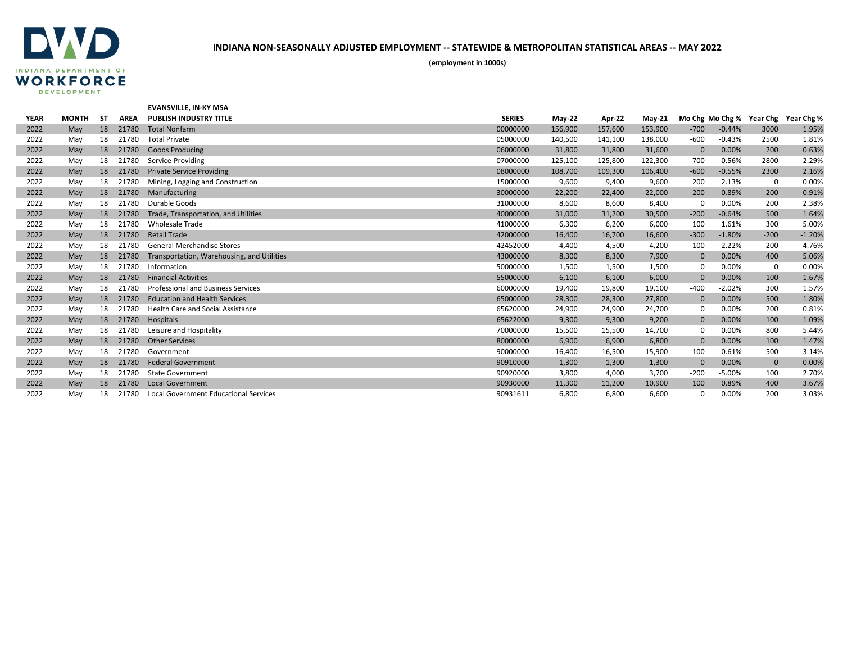

|             |              |           |             | <b>EVANSVILLE, IN-KY MSA</b>                 |               |          |         |          |              |          |                          |            |
|-------------|--------------|-----------|-------------|----------------------------------------------|---------------|----------|---------|----------|--------------|----------|--------------------------|------------|
| <b>YEAR</b> | <b>MONTH</b> | <b>ST</b> | <b>AREA</b> | <b>PUBLISH INDUSTRY TITLE</b>                | <b>SERIES</b> | $May-22$ | Apr-22  | $May-21$ |              |          | Mo Chg Mo Chg % Year Chg | Year Chg % |
| 2022        | May          | 18        | 21780       | <b>Total Nonfarm</b>                         | 00000000      | 156,900  | 157,600 | 153,900  | $-700$       | $-0.44%$ | 3000                     | 1.95%      |
| 2022        | May          | 18        | 21780       | <b>Total Private</b>                         | 05000000      | 140,500  | 141,100 | 138,000  | $-600$       | $-0.43%$ | 2500                     | 1.81%      |
| 2022        | May          | 18        | 21780       | <b>Goods Producing</b>                       | 06000000      | 31,800   | 31,800  | 31,600   | $\mathbf{0}$ | 0.00%    | 200                      | 0.63%      |
| 2022        | May          | 18        | 21780       | Service-Providing                            | 07000000      | 125,100  | 125,800 | 122,300  | $-700$       | $-0.56%$ | 2800                     | 2.29%      |
| 2022        | May          | 18        | 21780       | <b>Private Service Providing</b>             | 08000000      | 108,700  | 109,300 | 106,400  | $-600$       | $-0.55%$ | 2300                     | 2.16%      |
| 2022        | May          | 18        | 21780       | Mining, Logging and Construction             | 15000000      | 9,600    | 9,400   | 9,600    | 200          | 2.13%    | 0                        | 0.00%      |
| 2022        | May          | 18        | 21780       | Manufacturing                                | 30000000      | 22,200   | 22,400  | 22,000   | $-200$       | $-0.89%$ | 200                      | 0.91%      |
| 2022        | May          | 18        | 21780       | Durable Goods                                | 31000000      | 8,600    | 8,600   | 8,400    | $\Omega$     | 0.00%    | 200                      | 2.38%      |
| 2022        | May          | 18        | 21780       | Trade, Transportation, and Utilities         | 40000000      | 31,000   | 31,200  | 30,500   | $-200$       | $-0.64%$ | 500                      | 1.64%      |
| 2022        | May          | 18        | 21780       | <b>Wholesale Trade</b>                       | 41000000      | 6,300    | 6,200   | 6,000    | 100          | 1.61%    | 300                      | 5.00%      |
| 2022        | May          | 18        | 21780       | <b>Retail Trade</b>                          | 42000000      | 16,400   | 16,700  | 16,600   | $-300$       | $-1.80%$ | $-200$                   | $-1.20%$   |
| 2022        | May          | 18        | 21780       | <b>General Merchandise Stores</b>            | 42452000      | 4,400    | 4,500   | 4,200    | $-100$       | $-2.22%$ | 200                      | 4.76%      |
| 2022        | May          | 18        | 21780       | Transportation, Warehousing, and Utilities   | 43000000      | 8,300    | 8,300   | 7,900    | $\Omega$     | 0.00%    | 400                      | 5.06%      |
| 2022        | May          | 18        | 21780       | Information                                  | 50000000      | 1,500    | 1,500   | 1,500    | $\Omega$     | 0.00%    | 0                        | 0.00%      |
| 2022        | May          | 18        | 21780       | <b>Financial Activities</b>                  | 55000000      | 6,100    | 6,100   | 6,000    | $\mathbf{0}$ | 0.00%    | 100                      | 1.67%      |
| 2022        | May          | 18        | 21780       | <b>Professional and Business Services</b>    | 60000000      | 19,400   | 19,800  | 19,100   | $-400$       | $-2.02%$ | 300                      | 1.57%      |
| 2022        | May          | 18        | 21780       | <b>Education and Health Services</b>         | 65000000      | 28,300   | 28,300  | 27,800   | $\mathbf{0}$ | 0.00%    | 500                      | 1.80%      |
| 2022        | May          | 18        | 21780       | <b>Health Care and Social Assistance</b>     | 65620000      | 24,900   | 24,900  | 24,700   | 0            | 0.00%    | 200                      | 0.81%      |
| 2022        | May          | 18        | 21780       | Hospitals                                    | 65622000      | 9,300    | 9,300   | 9,200    | $\Omega$     | 0.00%    | 100                      | 1.09%      |
| 2022        | May          | 18        | 21780       | Leisure and Hospitality                      | 70000000      | 15,500   | 15,500  | 14,700   | $\mathbf 0$  | 0.00%    | 800                      | 5.44%      |
| 2022        | May          | 18        | 21780       | <b>Other Services</b>                        | 80000000      | 6,900    | 6,900   | 6,800    | $\mathbf{0}$ | 0.00%    | 100                      | 1.47%      |
| 2022        | May          | 18        | 21780       | Government                                   | 90000000      | 16,400   | 16,500  | 15,900   | $-100$       | $-0.61%$ | 500                      | 3.14%      |
| 2022        | May          | 18        | 21780       | <b>Federal Government</b>                    | 90910000      | 1,300    | 1,300   | 1,300    | $\Omega$     | 0.00%    | $\mathbf{0}$             | 0.00%      |
| 2022        | May          | 18        | 21780       | <b>State Government</b>                      | 90920000      | 3,800    | 4,000   | 3,700    | $-200$       | $-5.00%$ | 100                      | 2.70%      |
| 2022        | May          | 18        | 21780       | <b>Local Government</b>                      | 90930000      | 11,300   | 11,200  | 10,900   | 100          | 0.89%    | 400                      | 3.67%      |
| 2022        | May          | 18        | 21780       | <b>Local Government Educational Services</b> | 90931611      | 6,800    | 6.800   | 6.600    | $\Omega$     | 0.00%    | 200                      | 3.03%      |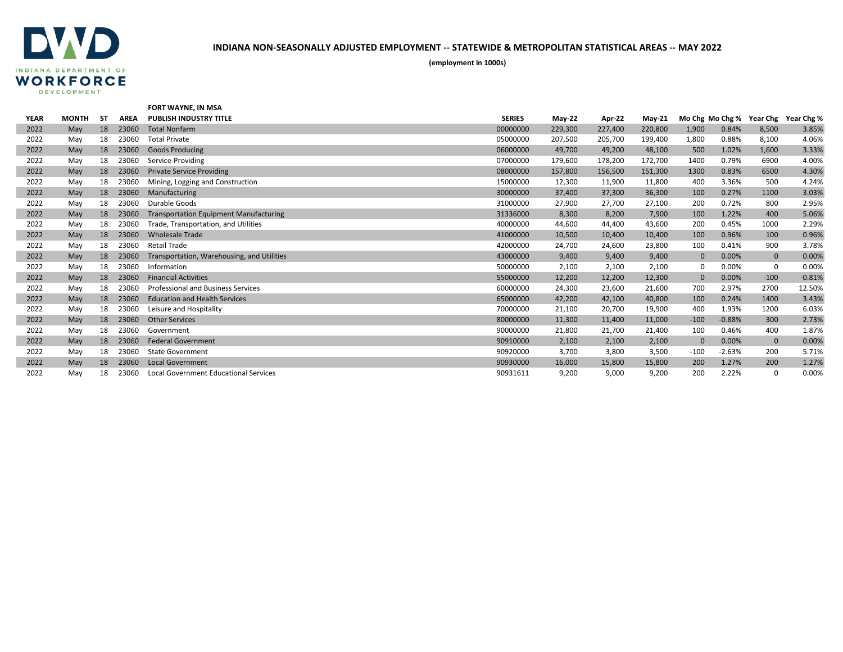

|             |              |           |             | <b>FORT WAYNE, IN MSA</b>                     |               |               |         |          |             |          |                          |            |
|-------------|--------------|-----------|-------------|-----------------------------------------------|---------------|---------------|---------|----------|-------------|----------|--------------------------|------------|
| <b>YEAR</b> | <b>MONTH</b> | <b>ST</b> | <b>AREA</b> | <b>PUBLISH INDUSTRY TITLE</b>                 | <b>SERIES</b> | <b>May-22</b> | Apr-22  | $May-21$ |             |          | Mo Chg Mo Chg % Year Chg | Year Chg % |
| 2022        | May          | 18        | 23060       | <b>Total Nonfarm</b>                          | 00000000      | 229,300       | 227,400 | 220,800  | 1,900       | 0.84%    | 8,500                    | 3.85%      |
| 2022        | May          | 18        | 23060       | <b>Total Private</b>                          | 05000000      | 207,500       | 205,700 | 199,400  | 1,800       | 0.88%    | 8,100                    | 4.06%      |
| 2022        | May          | 18        | 23060       | <b>Goods Producing</b>                        | 06000000      | 49,700        | 49,200  | 48,100   | 500         | 1.02%    | 1,600                    | 3.33%      |
| 2022        | May          | 18        | 23060       | Service-Providing                             | 07000000      | 179,600       | 178,200 | 172,700  | 1400        | 0.79%    | 6900                     | 4.00%      |
| 2022        | May          | 18        | 23060       | <b>Private Service Providing</b>              | 08000000      | 157,800       | 156,500 | 151,300  | 1300        | 0.83%    | 6500                     | 4.30%      |
| 2022        | May          | 18        | 23060       | Mining, Logging and Construction              | 15000000      | 12,300        | 11,900  | 11,800   | 400         | 3.36%    | 500                      | 4.24%      |
| 2022        | May          | 18        | 23060       | Manufacturing                                 | 30000000      | 37,400        | 37,300  | 36,300   | 100         | 0.27%    | 1100                     | 3.03%      |
| 2022        | May          | 18        | 23060       | Durable Goods                                 | 31000000      | 27,900        | 27,700  | 27,100   | 200         | 0.72%    | 800                      | 2.95%      |
| 2022        | May          | 18        | 23060       | <b>Transportation Equipment Manufacturing</b> | 31336000      | 8,300         | 8,200   | 7,900    | 100         | 1.22%    | 400                      | 5.06%      |
| 2022        | May          | 18        | 23060       | Trade, Transportation, and Utilities          | 40000000      | 44,600        | 44,400  | 43,600   | 200         | 0.45%    | 1000                     | 2.29%      |
| 2022        | May          | 18        | 23060       | <b>Wholesale Trade</b>                        | 41000000      | 10,500        | 10,400  | 10,400   | 100         | 0.96%    | 100                      | 0.96%      |
| 2022        | May          | 18        | 23060       | <b>Retail Trade</b>                           | 42000000      | 24,700        | 24,600  | 23,800   | 100         | 0.41%    | 900                      | 3.78%      |
| 2022        | May          | 18        | 23060       | Transportation, Warehousing, and Utilities    | 43000000      | 9,400         | 9,400   | 9,400    | $\mathbf 0$ | 0.00%    | $\mathbf 0$              | 0.00%      |
| 2022        | May          | 18        | 23060       | Information                                   | 50000000      | 2,100         | 2,100   | 2,100    | $\Omega$    | 0.00%    | 0                        | 0.00%      |
| 2022        | May          | 18        | 23060       | <b>Financial Activities</b>                   | 55000000      | 12,200        | 12,200  | 12,300   | $\Omega$    | 0.00%    | $-100$                   | $-0.81%$   |
| 2022        | May          | 18        | 23060       | <b>Professional and Business Services</b>     | 60000000      | 24,300        | 23,600  | 21,600   | 700         | 2.97%    | 2700                     | 12.50%     |
| 2022        | May          | 18        | 23060       | <b>Education and Health Services</b>          | 65000000      | 42,200        | 42,100  | 40,800   | 100         | 0.24%    | 1400                     | 3.43%      |
| 2022        | May          | 18        | 23060       | Leisure and Hospitality                       | 70000000      | 21,100        | 20,700  | 19,900   | 400         | 1.93%    | 1200                     | 6.03%      |
| 2022        | May          | 18        | 23060       | <b>Other Services</b>                         | 80000000      | 11,300        | 11,400  | 11,000   | $-100$      | $-0.88%$ | 300                      | 2.73%      |
| 2022        | May          | 18        | 23060       | Government                                    | 90000000      | 21,800        | 21,700  | 21,400   | 100         | 0.46%    | 400                      | 1.87%      |
| 2022        | May          | 18        | 23060       | <b>Federal Government</b>                     | 90910000      | 2,100         | 2,100   | 2,100    | $\Omega$    | 0.00%    | $\mathbf 0$              | 0.00%      |
| 2022        | May          | 18        | 23060       | <b>State Government</b>                       | 90920000      | 3,700         | 3,800   | 3,500    | $-100$      | $-2.63%$ | 200                      | 5.71%      |
| 2022        | May          | 18        | 23060       | <b>Local Government</b>                       | 90930000      | 16,000        | 15,800  | 15,800   | 200         | 1.27%    | 200                      | 1.27%      |
| 2022        | May          | 18        | 23060       | Local Government Educational Services         | 90931611      | 9.200         | 9.000   | 9.200    | 200         | 2.22%    | $\Omega$                 | 0.00%      |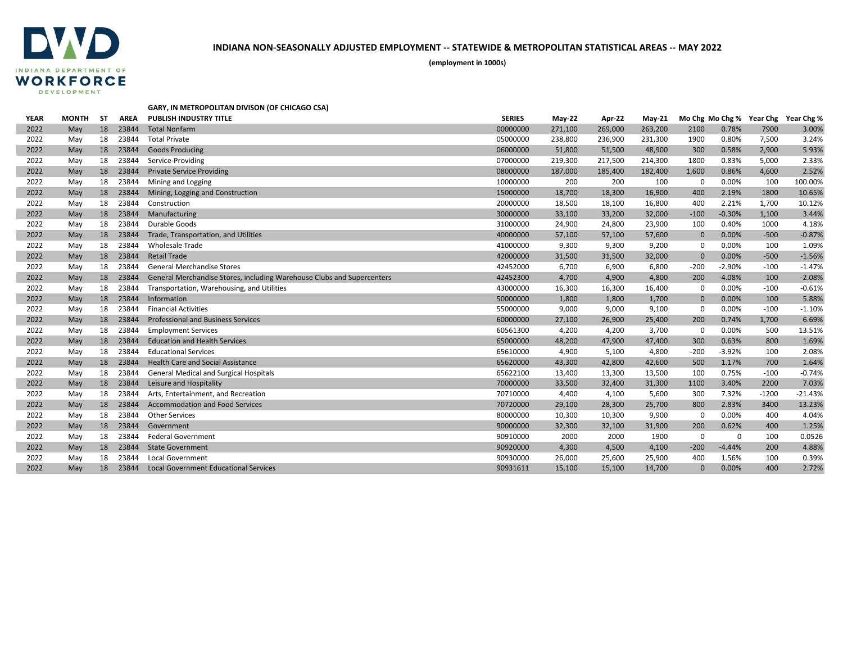

**(employment in 1000s)**

#### **GARY, IN METROPOLITAN DIVISON (OF CHICAGO CSA)**

| <b>YEAR</b> | <b>MONTH</b> | SΤ | <b>AREA</b> | <b>PUBLISH INDUSTRY TITLE</b>                                          | <b>SERIES</b> | <b>May-22</b> | Apr-22  | $May-21$ |              |          | Mo Chg Mo Chg % Year Chg | Year Chg % |
|-------------|--------------|----|-------------|------------------------------------------------------------------------|---------------|---------------|---------|----------|--------------|----------|--------------------------|------------|
| 2022        | May          | 18 | 23844       | <b>Total Nonfarm</b>                                                   | 00000000      | 271,100       | 269,000 | 263,200  | 2100         | 0.78%    | 7900                     | 3.00%      |
| 2022        | May          | 18 | 23844       | <b>Total Private</b>                                                   | 05000000      | 238,800       | 236,900 | 231,300  | 1900         | 0.80%    | 7,500                    | 3.24%      |
| 2022        | May          | 18 | 23844       | <b>Goods Producing</b>                                                 | 06000000      | 51,800        | 51,500  | 48,900   | 300          | 0.58%    | 2,900                    | 5.93%      |
| 2022        | May          | 18 | 23844       | Service-Providing                                                      | 07000000      | 219,300       | 217,500 | 214,300  | 1800         | 0.83%    | 5,000                    | 2.33%      |
| 2022        | May          | 18 | 23844       | <b>Private Service Providing</b>                                       | 08000000      | 187,000       | 185,400 | 182,400  | 1,600        | 0.86%    | 4,600                    | 2.52%      |
| 2022        | May          | 18 | 23844       | Mining and Logging                                                     | 10000000      | 200           | 200     | 100      | $\Omega$     | 0.00%    | 100                      | 100.00%    |
| 2022        | May          | 18 | 23844       | Mining, Logging and Construction                                       | 15000000      | 18,700        | 18,300  | 16,900   | 400          | 2.19%    | 1800                     | 10.65%     |
| 2022        | May          | 18 | 23844       | Construction                                                           | 20000000      | 18,500        | 18,100  | 16,800   | 400          | 2.21%    | 1,700                    | 10.12%     |
| 2022        | May          | 18 | 23844       | Manufacturing                                                          | 30000000      | 33,100        | 33,200  | 32,000   | $-100$       | $-0.30%$ | 1,100                    | 3.44%      |
| 2022        | May          | 18 | 23844       | Durable Goods                                                          | 31000000      | 24,900        | 24,800  | 23,900   | 100          | 0.40%    | 1000                     | 4.18%      |
| 2022        | May          | 18 | 23844       | Trade, Transportation, and Utilities                                   | 40000000      | 57,100        | 57,100  | 57,600   | $\mathbf{0}$ | 0.00%    | $-500$                   | $-0.87%$   |
| 2022        | May          | 18 | 23844       | <b>Wholesale Trade</b>                                                 | 41000000      | 9,300         | 9,300   | 9,200    | 0            | 0.00%    | 100                      | 1.09%      |
| 2022        | May          | 18 | 23844       | <b>Retail Trade</b>                                                    | 42000000      | 31,500        | 31,500  | 32,000   | $\mathbf{0}$ | 0.00%    | $-500$                   | $-1.56%$   |
| 2022        | May          | 18 | 23844       | <b>General Merchandise Stores</b>                                      | 42452000      | 6,700         | 6,900   | 6,800    | $-200$       | $-2.90%$ | $-100$                   | $-1.47%$   |
| 2022        | May          | 18 | 23844       | General Merchandise Stores, including Warehouse Clubs and Supercenters | 42452300      | 4,700         | 4,900   | 4,800    | $-200$       | $-4.08%$ | $-100$                   | $-2.08%$   |
| 2022        | May          | 18 | 23844       | Transportation, Warehousing, and Utilities                             | 43000000      | 16,300        | 16,300  | 16,400   | 0            | 0.00%    | $-100$                   | $-0.61%$   |
| 2022        | May          | 18 | 23844       | Information                                                            | 50000000      | 1,800         | 1,800   | 1,700    | $\mathbf{0}$ | 0.00%    | 100                      | 5.88%      |
| 2022        | May          | 18 | 23844       | <b>Financial Activities</b>                                            | 55000000      | 9,000         | 9,000   | 9,100    | $\Omega$     | 0.00%    | $-100$                   | $-1.10%$   |
| 2022        | May          | 18 | 23844       | <b>Professional and Business Services</b>                              | 60000000      | 27,100        | 26,900  | 25,400   | 200          | 0.74%    | 1,700                    | 6.69%      |
| 2022        | May          | 18 | 23844       | <b>Employment Services</b>                                             | 60561300      | 4,200         | 4,200   | 3,700    | $\mathbf 0$  | 0.00%    | 500                      | 13.51%     |
| 2022        | May          | 18 | 23844       | <b>Education and Health Services</b>                                   | 65000000      | 48,200        | 47,900  | 47,400   | 300          | 0.63%    | 800                      | 1.69%      |
| 2022        | May          | 18 | 23844       | <b>Educational Services</b>                                            | 65610000      | 4,900         | 5,100   | 4,800    | $-200$       | $-3.92%$ | 100                      | 2.08%      |
| 2022        | May          | 18 | 23844       | <b>Health Care and Social Assistance</b>                               | 65620000      | 43,300        | 42,800  | 42,600   | 500          | 1.17%    | 700                      | 1.64%      |
| 2022        | May          | 18 | 23844       | <b>General Medical and Surgical Hospitals</b>                          | 65622100      | 13,400        | 13,300  | 13,500   | 100          | 0.75%    | $-100$                   | $-0.74%$   |
| 2022        | May          | 18 | 23844       | Leisure and Hospitality                                                | 70000000      | 33,500        | 32,400  | 31,300   | 1100         | 3.40%    | 2200                     | 7.03%      |
| 2022        | May          | 18 | 23844       | Arts, Entertainment, and Recreation                                    | 70710000      | 4,400         | 4,100   | 5,600    | 300          | 7.32%    | $-1200$                  | $-21.43%$  |
| 2022        | May          | 18 | 23844       | <b>Accommodation and Food Services</b>                                 | 70720000      | 29,100        | 28,300  | 25,700   | 800          | 2.83%    | 3400                     | 13.23%     |
| 2022        | May          | 18 | 23844       | <b>Other Services</b>                                                  | 80000000      | 10,300        | 10,300  | 9,900    | $\mathbf 0$  | 0.00%    | 400                      | 4.04%      |
| 2022        | May          | 18 | 23844       | Government                                                             | 90000000      | 32,300        | 32,100  | 31,900   | 200          | 0.62%    | 400                      | 1.25%      |
| 2022        | May          | 18 | 23844       | <b>Federal Government</b>                                              | 90910000      | 2000          | 2000    | 1900     | 0            | 0        | 100                      | 0.0526     |
| 2022        | May          | 18 | 23844       | <b>State Government</b>                                                | 90920000      | 4,300         | 4,500   | 4,100    | $-200$       | $-4.44%$ | 200                      | 4.88%      |
| 2022        | May          | 18 | 23844       | <b>Local Government</b>                                                | 90930000      | 26,000        | 25,600  | 25,900   | 400          | 1.56%    | 100                      | 0.39%      |
| 2022        | May          | 18 | 23844       | <b>Local Government Educational Services</b>                           | 90931611      | 15,100        | 15,100  | 14,700   | $\Omega$     | 0.00%    | 400                      | 2.72%      |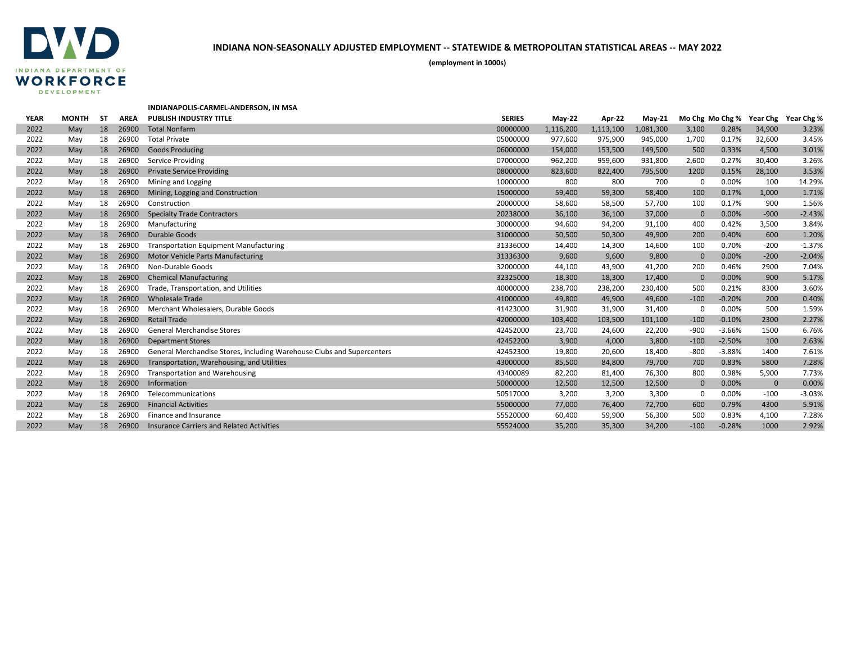

**(employment in 1000s)**

# **INDIANAPOLIS-CARMEL-ANDERSON, IN MSA**

| <b>YEAR</b> | <b>MONTH</b> | SΤ | <b>AREA</b> | <b>PUBLISH INDUSTRY TITLE</b>                                          | <b>SERIES</b> | <b>May-22</b> | Apr-22    | $Mav-21$  |              | Mo Chg Mo Chg % Year Chg |              | Year Chg % |
|-------------|--------------|----|-------------|------------------------------------------------------------------------|---------------|---------------|-----------|-----------|--------------|--------------------------|--------------|------------|
| 2022        | May          | 18 | 26900       | <b>Total Nonfarm</b>                                                   | 00000000      | 1,116,200     | 1,113,100 | 1,081,300 | 3,100        | 0.28%                    | 34,900       | 3.23%      |
| 2022        | May          | 18 | 26900       | <b>Total Private</b>                                                   | 05000000      | 977,600       | 975,900   | 945,000   | 1,700        | 0.17%                    | 32,600       | 3.45%      |
| 2022        | May          | 18 | 26900       | <b>Goods Producing</b>                                                 | 06000000      | 154,000       | 153,500   | 149,500   | 500          | 0.33%                    | 4,500        | 3.01%      |
| 2022        | May          | 18 | 26900       | Service-Providing                                                      | 07000000      | 962,200       | 959,600   | 931,800   | 2,600        | 0.27%                    | 30,400       | 3.26%      |
| 2022        | May          | 18 | 26900       | <b>Private Service Providing</b>                                       | 08000000      | 823,600       | 822,400   | 795,500   | 1200         | 0.15%                    | 28,100       | 3.53%      |
| 2022        | May          | 18 | 26900       | Mining and Logging                                                     | 10000000      | 800           | 800       | 700       | 0            | 0.00%                    | 100          | 14.29%     |
| 2022        | May          | 18 | 26900       | Mining, Logging and Construction                                       | 15000000      | 59,400        | 59,300    | 58,400    | 100          | 0.17%                    | 1,000        | 1.71%      |
| 2022        | May          | 18 | 26900       | Construction                                                           | 20000000      | 58,600        | 58,500    | 57,700    | 100          | 0.17%                    | 900          | 1.56%      |
| 2022        | May          | 18 | 26900       | <b>Specialty Trade Contractors</b>                                     | 20238000      | 36,100        | 36,100    | 37,000    | $\mathbf{0}$ | 0.00%                    | $-900$       | $-2.43%$   |
| 2022        | May          | 18 | 26900       | Manufacturing                                                          | 30000000      | 94,600        | 94,200    | 91,100    | 400          | 0.42%                    | 3,500        | 3.84%      |
| 2022        | May          | 18 | 26900       | <b>Durable Goods</b>                                                   | 31000000      | 50,500        | 50,300    | 49,900    | 200          | 0.40%                    | 600          | 1.20%      |
| 2022        | May          | 18 | 26900       | <b>Transportation Equipment Manufacturing</b>                          | 31336000      | 14,400        | 14,300    | 14,600    | 100          | 0.70%                    | $-200$       | $-1.37%$   |
| 2022        | May          | 18 | 26900       | <b>Motor Vehicle Parts Manufacturing</b>                               | 31336300      | 9,600         | 9,600     | 9,800     | $\mathbf{0}$ | 0.00%                    | $-200$       | $-2.04%$   |
| 2022        | May          | 18 | 26900       | Non-Durable Goods                                                      | 32000000      | 44,100        | 43,900    | 41,200    | 200          | 0.46%                    | 2900         | 7.04%      |
| 2022        | May          | 18 | 26900       | <b>Chemical Manufacturing</b>                                          | 32325000      | 18,300        | 18,300    | 17,400    | $\mathbf{0}$ | 0.00%                    | 900          | 5.17%      |
| 2022        | May          | 18 | 26900       | Trade, Transportation, and Utilities                                   | 40000000      | 238,700       | 238,200   | 230,400   | 500          | 0.21%                    | 8300         | 3.60%      |
| 2022        | May          | 18 | 26900       | <b>Wholesale Trade</b>                                                 | 41000000      | 49,800        | 49,900    | 49,600    | $-100$       | $-0.20%$                 | 200          | 0.40%      |
| 2022        | May          | 18 | 26900       | Merchant Wholesalers, Durable Goods                                    | 41423000      | 31,900        | 31,900    | 31,400    | $\Omega$     | 0.00%                    | 500          | 1.59%      |
| 2022        | May          | 18 | 26900       | <b>Retail Trade</b>                                                    | 42000000      | 103,400       | 103,500   | 101,100   | $-100$       | $-0.10%$                 | 2300         | 2.27%      |
| 2022        | May          | 18 | 26900       | <b>General Merchandise Stores</b>                                      | 42452000      | 23,700        | 24,600    | 22,200    | $-900$       | $-3.66%$                 | 1500         | 6.76%      |
| 2022        | May          | 18 | 26900       | <b>Department Stores</b>                                               | 42452200      | 3,900         | 4,000     | 3,800     | $-100$       | $-2.50%$                 | 100          | 2.63%      |
| 2022        | May          | 18 | 26900       | General Merchandise Stores, including Warehouse Clubs and Supercenters | 42452300      | 19,800        | 20,600    | 18,400    | $-800$       | $-3.88%$                 | 1400         | 7.61%      |
| 2022        | May          | 18 | 26900       | Transportation, Warehousing, and Utilities                             | 43000000      | 85,500        | 84,800    | 79,700    | 700          | 0.83%                    | 5800         | 7.28%      |
| 2022        | May          | 18 | 26900       | <b>Transportation and Warehousing</b>                                  | 43400089      | 82,200        | 81,400    | 76,300    | 800          | 0.98%                    | 5,900        | 7.73%      |
| 2022        | May          | 18 | 26900       | Information                                                            | 50000000      | 12,500        | 12,500    | 12,500    | $\mathbf{0}$ | 0.00%                    | $\mathbf{0}$ | 0.00%      |
| 2022        | May          | 18 | 26900       | Telecommunications                                                     | 50517000      | 3,200         | 3,200     | 3,300     | $\Omega$     | 0.00%                    | $-100$       | $-3.03%$   |
| 2022        | May          | 18 | 26900       | <b>Financial Activities</b>                                            | 55000000      | 77,000        | 76,400    | 72,700    | 600          | 0.79%                    | 4300         | 5.91%      |
| 2022        | May          | 18 | 26900       | Finance and Insurance                                                  | 55520000      | 60,400        | 59,900    | 56,300    | 500          | 0.83%                    | 4,100        | 7.28%      |
| 2022        | May          | 18 | 26900       | <b>Insurance Carriers and Related Activities</b>                       | 55524000      | 35,200        | 35,300    | 34,200    | $-100$       | $-0.28%$                 | 1000         | 2.92%      |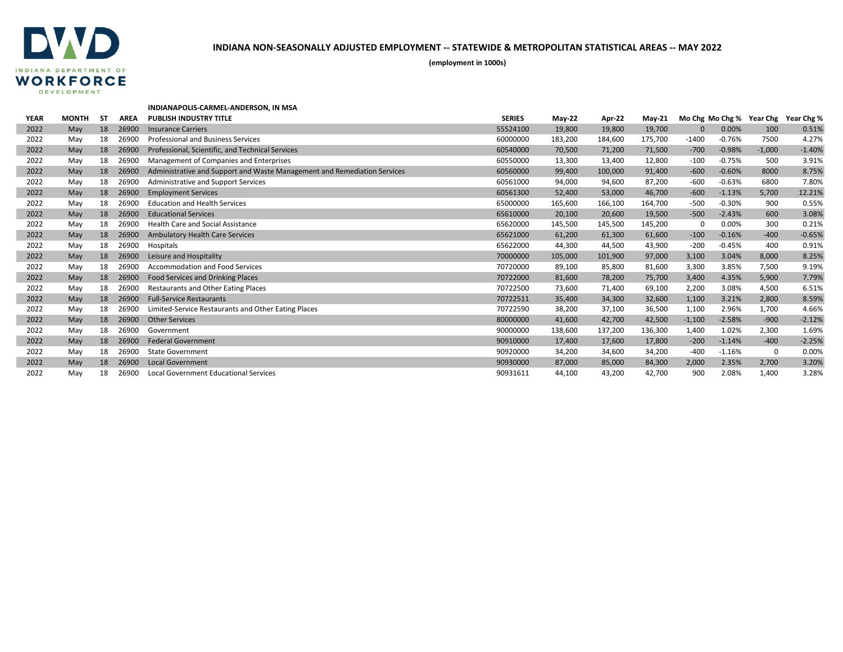

**(employment in 1000s)**

#### **INDIANAPOLIS-CARMEL-ANDERSON, IN MSA**

| <b>YEAR</b> | <b>MONTH</b> | SΤ | <b>AREA</b> | <b>PUBLISH INDUSTRY TITLE</b>                                            | <b>SERIES</b> | $May-22$ | Apr-22  | <b>May-21</b> | Mo Chg Mo Chg % |          | Year Chg | Year Chg % |
|-------------|--------------|----|-------------|--------------------------------------------------------------------------|---------------|----------|---------|---------------|-----------------|----------|----------|------------|
| 2022        | May          | 18 | 26900       | <b>Insurance Carriers</b>                                                | 55524100      | 19,800   | 19,800  | 19,700        | $\Omega$        | 0.00%    | 100      | 0.51%      |
| 2022        | May          | 18 | 26900       | <b>Professional and Business Services</b>                                | 60000000      | 183,200  | 184,600 | 175,700       | $-1400$         | $-0.76%$ | 7500     | 4.27%      |
| 2022        | May          | 18 | 26900       | Professional, Scientific, and Technical Services                         | 60540000      | 70,500   | 71,200  | 71,500        | $-700$          | $-0.98%$ | $-1,000$ | $-1.40%$   |
| 2022        | May          | 18 | 26900       | Management of Companies and Enterprises                                  | 60550000      | 13,300   | 13,400  | 12,800        | $-100$          | $-0.75%$ | 500      | 3.91%      |
| 2022        | May          | 18 | 26900       | Administrative and Support and Waste Management and Remediation Services | 60560000      | 99,400   | 100,000 | 91,400        | $-600$          | $-0.60%$ | 8000     | 8.75%      |
| 2022        | May          | 18 | 26900       | Administrative and Support Services                                      | 60561000      | 94,000   | 94,600  | 87,200        | $-600$          | $-0.63%$ | 6800     | 7.80%      |
| 2022        | May          | 18 | 26900       | <b>Employment Services</b>                                               | 60561300      | 52,400   | 53,000  | 46,700        | $-600$          | $-1.13%$ | 5,700    | 12.21%     |
| 2022        | May          | 18 | 26900       | <b>Education and Health Services</b>                                     | 65000000      | 165,600  | 166,100 | 164,700       | $-500$          | $-0.30%$ | 900      | 0.55%      |
| 2022        | May          | 18 | 26900       | <b>Educational Services</b>                                              | 65610000      | 20,100   | 20,600  | 19,500        | $-500$          | $-2.43%$ | 600      | 3.08%      |
| 2022        | May          | 18 | 26900       | Health Care and Social Assistance                                        | 65620000      | 145,500  | 145,500 | 145,200       | $\Omega$        | 0.00%    | 300      | 0.21%      |
| 2022        | May          | 18 | 26900       | <b>Ambulatory Health Care Services</b>                                   | 65621000      | 61,200   | 61,300  | 61,600        | $-100$          | $-0.16%$ | $-400$   | $-0.65%$   |
| 2022        | May          | 18 | 26900       | Hospitals                                                                | 65622000      | 44,300   | 44,500  | 43,900        | $-200$          | $-0.45%$ | 400      | 0.91%      |
| 2022        | May          | 18 | 26900       | Leisure and Hospitality                                                  | 70000000      | 105,000  | 101,900 | 97,000        | 3,100           | 3.04%    | 8,000    | 8.25%      |
| 2022        | May          | 18 | 26900       | <b>Accommodation and Food Services</b>                                   | 70720000      | 89,100   | 85,800  | 81,600        | 3,300           | 3.85%    | 7,500    | 9.19%      |
| 2022        | May          | 18 | 26900       | Food Services and Drinking Places                                        | 70722000      | 81,600   | 78,200  | 75,700        | 3,400           | 4.35%    | 5,900    | 7.79%      |
| 2022        | May          | 18 | 26900       | Restaurants and Other Eating Places                                      | 70722500      | 73,600   | 71,400  | 69,100        | 2,200           | 3.08%    | 4,500    | 6.51%      |
| 2022        | May          | 18 | 26900       | <b>Full-Service Restaurants</b>                                          | 70722511      | 35,400   | 34,300  | 32,600        | 1,100           | 3.21%    | 2,800    | 8.59%      |
| 2022        | May          | 18 | 26900       | Limited-Service Restaurants and Other Eating Places                      | 70722590      | 38,200   | 37,100  | 36,500        | 1,100           | 2.96%    | 1,700    | 4.66%      |
| 2022        | May          | 18 | 26900       | <b>Other Services</b>                                                    | 80000000      | 41,600   | 42,700  | 42,500        | $-1,100$        | $-2.58%$ | $-900$   | $-2.12%$   |
| 2022        | May          | 18 | 26900       | Government                                                               | 90000000      | 138,600  | 137,200 | 136,300       | 1,400           | 1.02%    | 2,300    | 1.69%      |
| 2022        | May          | 18 | 26900       | <b>Federal Government</b>                                                | 90910000      | 17,400   | 17,600  | 17,800        | $-200$          | $-1.14%$ | $-400$   | $-2.25%$   |
| 2022        | May          | 18 | 26900       | <b>State Government</b>                                                  | 90920000      | 34,200   | 34,600  | 34,200        | $-400$          | $-1.16%$ | $\Omega$ | 0.00%      |
| 2022        | May          | 18 | 26900       | <b>Local Government</b>                                                  | 90930000      | 87,000   | 85,000  | 84,300        | 2,000           | 2.35%    | 2,700    | 3.20%      |
| 2022        | May          | 18 | 26900       | <b>Local Government Educational Services</b>                             | 90931611      | 44,100   | 43,200  | 42,700        | 900             | 2.08%    | 1,400    | 3.28%      |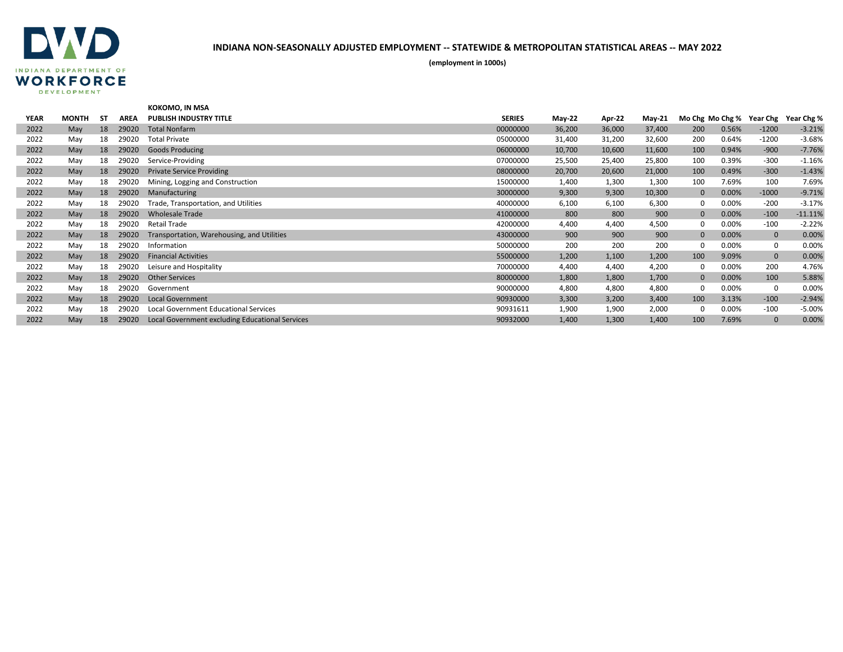

|             |              |           |             | KOKOMO, IN MSA                                  |               |          |        |               |              |       |                          |            |
|-------------|--------------|-----------|-------------|-------------------------------------------------|---------------|----------|--------|---------------|--------------|-------|--------------------------|------------|
| <b>YEAR</b> | <b>MONTH</b> | <b>ST</b> | <b>AREA</b> | <b>PUBLISH INDUSTRY TITLE</b>                   | <b>SERIES</b> | $May-22$ | Apr-22 | <b>May-21</b> |              |       | Mo Chg Mo Chg % Year Chg | Year Chg % |
| 2022        | May          | 18        | 29020       | <b>Total Nonfarm</b>                            | 00000000      | 36,200   | 36,000 | 37,400        | 200          | 0.56% | $-1200$                  | $-3.21%$   |
| 2022        | May          | 18        | 29020       | <b>Total Private</b>                            | 05000000      | 31,400   | 31,200 | 32,600        | 200          | 0.64% | $-1200$                  | $-3.68%$   |
| 2022        | May          | 18        | 29020       | <b>Goods Producing</b>                          | 06000000      | 10,700   | 10,600 | 11,600        | 100          | 0.94% | $-900$                   | $-7.76%$   |
| 2022        | May          | 18        | 29020       | Service-Providing                               | 07000000      | 25,500   | 25,400 | 25,800        | 100          | 0.39% | $-300$                   | $-1.16%$   |
| 2022        | May          | 18        | 29020       | <b>Private Service Providing</b>                | 08000000      | 20,700   | 20,600 | 21,000        | 100          | 0.49% | $-300$                   | $-1.43%$   |
| 2022        | May          | 18        | 29020       | Mining, Logging and Construction                | 15000000      | 1,400    | 1,300  | 1,300         | 100          | 7.69% | 100                      | 7.69%      |
| 2022        | May          | 18        | 29020       | Manufacturing                                   | 30000000      | 9,300    | 9,300  | 10,300        | $\mathbf{0}$ | 0.00% | $-1000$                  | $-9.71%$   |
| 2022        | May          | 18        | 29020       | Trade, Transportation, and Utilities            | 40000000      | 6,100    | 6,100  | 6,300         | 0            | 0.00% | $-200$                   | $-3.17%$   |
| 2022        | May          | 18        | 29020       | <b>Wholesale Trade</b>                          | 41000000      | 800      | 800    | 900           | $\mathbf{0}$ | 0.00% | $-100$                   | $-11.11%$  |
| 2022        | May          | 18        | 29020       | <b>Retail Trade</b>                             | 42000000      | 4,400    | 4,400  | 4,500         | $\Omega$     | 0.00% | $-100$                   | $-2.22%$   |
| 2022        | May          | 18        | 29020       | Transportation, Warehousing, and Utilities      | 43000000      | 900      | 900    | 900           | $\mathbf{0}$ | 0.00% | $\mathbf 0$              | 0.00%      |
| 2022        | May          | 18        | 29020       | Information                                     | 50000000      | 200      | 200    | 200           | $\Omega$     | 0.00% | 0                        | 0.00%      |
| 2022        | May          | 18        | 29020       | <b>Financial Activities</b>                     | 55000000      | 1,200    | 1,100  | 1,200         | 100          | 9.09% | $\mathbf 0$              | 0.00%      |
| 2022        | May          | 18        | 29020       | Leisure and Hospitality                         | 70000000      | 4,400    | 4,400  | 4,200         | 0            | 0.00% | 200                      | 4.76%      |
| 2022        | May          | 18        | 29020       | <b>Other Services</b>                           | 80000000      | 1,800    | 1,800  | 1,700         | $\mathbf{0}$ | 0.00% | 100                      | 5.88%      |
| 2022        | May          | 18        | 29020       | Government                                      | 90000000      | 4,800    | 4,800  | 4,800         | 0            | 0.00% | 0                        | 0.00%      |
| 2022        | May          | 18        | 29020       | <b>Local Government</b>                         | 90930000      | 3,300    | 3,200  | 3,400         | 100          | 3.13% | $-100$                   | $-2.94%$   |
| 2022        | May          | 18        | 29020       | <b>Local Government Educational Services</b>    | 90931611      | 1,900    | 1,900  | 2,000         | $\Omega$     | 0.00% | $-100$                   | $-5.00%$   |
| 2022        | May          | 18        | 29020       | Local Government excluding Educational Services | 90932000      | 1,400    | 1,300  | 1,400         | 100          | 7.69% | $\mathbf{0}$             | 0.00%      |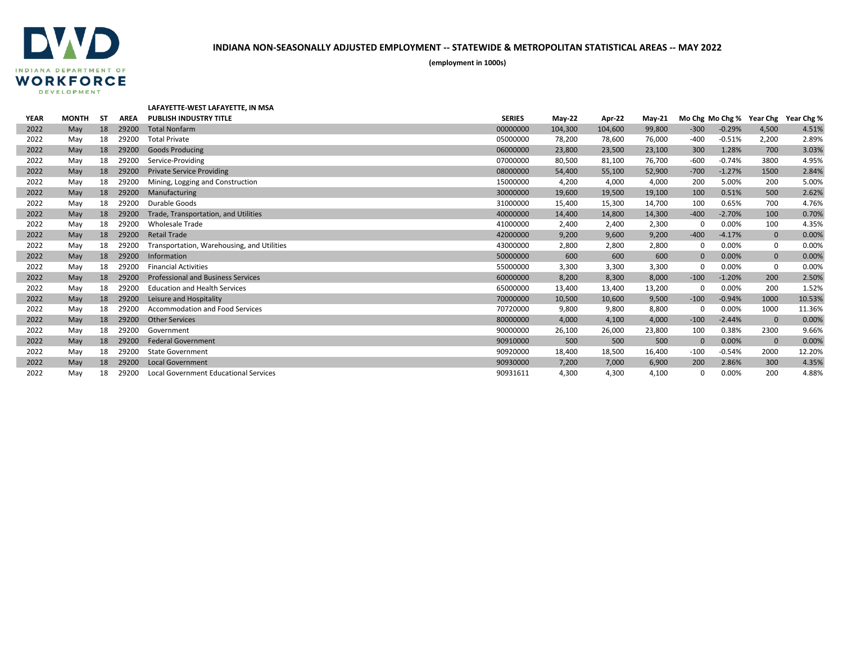

|             |              |           |             | LAFAYETTE-WEST LAFAYETTE, IN MSA             |               |          |         |               |              |          |              |                                     |
|-------------|--------------|-----------|-------------|----------------------------------------------|---------------|----------|---------|---------------|--------------|----------|--------------|-------------------------------------|
| <b>YEAR</b> | <b>MONTH</b> | <b>ST</b> | <b>AREA</b> | <b>PUBLISH INDUSTRY TITLE</b>                | <b>SERIES</b> | $May-22$ | Apr-22  | <b>May-21</b> |              |          |              | Mo Chg Mo Chg % Year Chg Year Chg % |
| 2022        | May          | 18        | 29200       | <b>Total Nonfarm</b>                         | 00000000      | 104,300  | 104,600 | 99,800        | $-300$       | $-0.29%$ | 4,500        | 4.51%                               |
| 2022        | May          | 18        | 29200       | <b>Total Private</b>                         | 05000000      | 78,200   | 78,600  | 76,000        | $-400$       | $-0.51%$ | 2,200        | 2.89%                               |
| 2022        | May          | 18        | 29200       | <b>Goods Producing</b>                       | 06000000      | 23,800   | 23,500  | 23,100        | 300          | 1.28%    | 700          | 3.03%                               |
| 2022        | May          | 18        | 29200       | Service-Providing                            | 07000000      | 80,500   | 81,100  | 76,700        | $-600$       | $-0.74%$ | 3800         | 4.95%                               |
| 2022        | May          | 18        | 29200       | <b>Private Service Providing</b>             | 08000000      | 54,400   | 55,100  | 52,900        | $-700$       | $-1.27%$ | 1500         | 2.84%                               |
| 2022        | May          | 18        | 29200       | Mining, Logging and Construction             | 15000000      | 4,200    | 4,000   | 4,000         | 200          | 5.00%    | 200          | 5.00%                               |
| 2022        | May          | 18        | 29200       | Manufacturing                                | 30000000      | 19,600   | 19,500  | 19,100        | 100          | 0.51%    | 500          | 2.62%                               |
| 2022        | May          | 18        | 29200       | Durable Goods                                | 31000000      | 15,400   | 15,300  | 14,700        | 100          | 0.65%    | 700          | 4.76%                               |
| 2022        | May          | 18        | 29200       | Trade, Transportation, and Utilities         | 40000000      | 14,400   | 14,800  | 14,300        | $-400$       | $-2.70%$ | 100          | 0.70%                               |
| 2022        | May          | 18        | 29200       | <b>Wholesale Trade</b>                       | 41000000      | 2,400    | 2,400   | 2,300         | $\Omega$     | 0.00%    | 100          | 4.35%                               |
| 2022        | May          | 18        | 29200       | <b>Retail Trade</b>                          | 42000000      | 9,200    | 9,600   | 9,200         | $-400$       | $-4.17%$ | $\mathbf 0$  | 0.00%                               |
| 2022        | May          | 18        | 29200       | Transportation, Warehousing, and Utilities   | 43000000      | 2,800    | 2,800   | 2,800         | 0            | 0.00%    | 0            | 0.00%                               |
| 2022        | May          | 18        | 29200       | Information                                  | 50000000      | 600      | 600     | 600           | $\mathbf{0}$ | 0.00%    | $\mathbf 0$  | 0.00%                               |
| 2022        | May          | 18        | 29200       | <b>Financial Activities</b>                  | 55000000      | 3,300    | 3,300   | 3,300         | $\mathbf 0$  | 0.00%    | 0            | 0.00%                               |
| 2022        | May          | 18        | 29200       | <b>Professional and Business Services</b>    | 60000000      | 8,200    | 8,300   | 8,000         | $-100$       | $-1.20%$ | 200          | 2.50%                               |
| 2022        | May          | 18        | 29200       | <b>Education and Health Services</b>         | 65000000      | 13,400   | 13,400  | 13,200        | 0            | 0.00%    | 200          | 1.52%                               |
| 2022        | May          | 18        | 29200       | Leisure and Hospitality                      | 70000000      | 10,500   | 10,600  | 9,500         | $-100$       | $-0.94%$ | 1000         | 10.53%                              |
| 2022        | May          | 18        | 29200       | <b>Accommodation and Food Services</b>       | 70720000      | 9,800    | 9,800   | 8,800         | 0            | 0.00%    | 1000         | 11.36%                              |
| 2022        | May          | 18        | 29200       | <b>Other Services</b>                        | 80000000      | 4,000    | 4,100   | 4,000         | $-100$       | $-2.44%$ | $\mathbf{0}$ | 0.00%                               |
| 2022        | May          | 18        | 29200       | Government                                   | 90000000      | 26,100   | 26,000  | 23,800        | 100          | 0.38%    | 2300         | 9.66%                               |
| 2022        | May          | 18        | 29200       | <b>Federal Government</b>                    | 90910000      | 500      | 500     | 500           | $\Omega$     | 0.00%    | $\mathbf 0$  | 0.00%                               |
| 2022        | May          | 18        | 29200       | <b>State Government</b>                      | 90920000      | 18,400   | 18,500  | 16,400        | $-100$       | $-0.54%$ | 2000         | 12.20%                              |
| 2022        | May          | 18        | 29200       | <b>Local Government</b>                      | 90930000      | 7,200    | 7.000   | 6,900         | 200          | 2.86%    | 300          | 4.35%                               |
| 2022        | May          | 18        | 29200       | <b>Local Government Educational Services</b> | 90931611      | 4.300    | 4.300   | 4.100         | $\Omega$     | 0.00%    | 200          | 4.88%                               |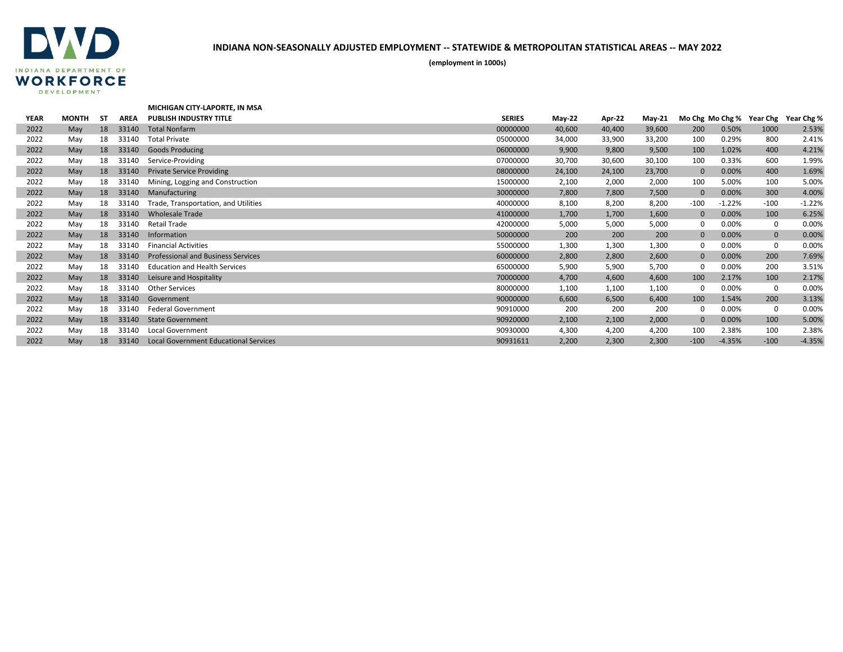

|             |              |           |             | MICHIGAN CITY-LAPORTE, IN MSA                |               |          |        |               |                 |          |             |            |
|-------------|--------------|-----------|-------------|----------------------------------------------|---------------|----------|--------|---------------|-----------------|----------|-------------|------------|
| <b>YEAR</b> | <b>MONTH</b> | <b>ST</b> | <b>AREA</b> | <b>PUBLISH INDUSTRY TITLE</b>                | <b>SERIES</b> | $May-22$ | Apr-22 | <b>May-21</b> | Mo Chg Mo Chg % |          | Year Chg    | Year Chg % |
| 2022        | May          | 18        | 33140       | <b>Total Nonfarm</b>                         | 00000000      | 40,600   | 40,400 | 39,600        | 200             | 0.50%    | 1000        | 2.53%      |
| 2022        | May          | 18        | 33140       | <b>Total Private</b>                         | 05000000      | 34,000   | 33,900 | 33,200        | 100             | 0.29%    | 800         | 2.41%      |
| 2022        | May          | 18        | 33140       | <b>Goods Producing</b>                       | 06000000      | 9,900    | 9,800  | 9,500         | 100             | 1.02%    | 400         | 4.21%      |
| 2022        | May          | 18        | 33140       | Service-Providing                            | 07000000      | 30,700   | 30,600 | 30,100        | 100             | 0.33%    | 600         | 1.99%      |
| 2022        | May          | 18        | 33140       | <b>Private Service Providing</b>             | 08000000      | 24,100   | 24,100 | 23,700        | $\mathbf{0}$    | 0.00%    | 400         | 1.69%      |
| 2022        | May          | 18        | 33140       | Mining, Logging and Construction             | 15000000      | 2,100    | 2,000  | 2,000         | 100             | 5.00%    | 100         | 5.00%      |
| 2022        | May          | 18        | 33140       | Manufacturing                                | 30000000      | 7,800    | 7,800  | 7,500         | $\mathbf{0}$    | 0.00%    | 300         | 4.00%      |
| 2022        | May          | 18        | 33140       | Trade, Transportation, and Utilities         | 40000000      | 8,100    | 8,200  | 8,200         | $-100$          | $-1.22%$ | $-100$      | $-1.22%$   |
| 2022        | May          | 18        | 33140       | <b>Wholesale Trade</b>                       | 41000000      | 1,700    | 1,700  | 1,600         | $\mathbf{0}$    | 0.00%    | 100         | 6.25%      |
| 2022        | May          | 18        | 33140       | Retail Trade                                 | 42000000      | 5,000    | 5,000  | 5,000         | 0               | 0.00%    | 0           | 0.00%      |
| 2022        | May          | 18        | 33140       | Information                                  | 50000000      | 200      | 200    | 200           | $\mathbf{0}$    | 0.00%    | $\mathbf 0$ | 0.00%      |
| 2022        | May          | 18        | 33140       | <b>Financial Activities</b>                  | 55000000      | 1,300    | 1,300  | 1,300         | 0               | 0.00%    | 0           | 0.00%      |
| 2022        | May          | 18        | 33140       | <b>Professional and Business Services</b>    | 60000000      | 2,800    | 2,800  | 2,600         | $\mathbf{0}$    | 0.00%    | 200         | 7.69%      |
| 2022        | May          | 18        | 33140       | <b>Education and Health Services</b>         | 65000000      | 5,900    | 5,900  | 5,700         | 0               | 0.00%    | 200         | 3.51%      |
| 2022        | May          | 18        | 33140       | Leisure and Hospitality                      | 70000000      | 4,700    | 4,600  | 4,600         | 100             | 2.17%    | 100         | 2.17%      |
| 2022        | May          | 18        | 33140       | <b>Other Services</b>                        | 80000000      | 1,100    | 1,100  | 1,100         | 0               | 0.00%    | 0           | 0.00%      |
| 2022        | May          | 18        | 33140       | Government                                   | 90000000      | 6,600    | 6,500  | 6,400         | 100             | 1.54%    | 200         | 3.13%      |
| 2022        | May          | 18        | 33140       | <b>Federal Government</b>                    | 90910000      | 200      | 200    | 200           | 0               | 0.00%    | 0           | 0.00%      |
| 2022        | May          | 18        | 33140       | <b>State Government</b>                      | 90920000      | 2,100    | 2,100  | 2,000         | $\Omega$        | 0.00%    | 100         | 5.00%      |
| 2022        | May          | 18        | 33140       | <b>Local Government</b>                      | 90930000      | 4,300    | 4,200  | 4,200         | 100             | 2.38%    | 100         | 2.38%      |
| 2022        | May          | 18        | 33140       | <b>Local Government Educational Services</b> | 90931611      | 2,200    | 2,300  | 2,300         | $-100$          | $-4.35%$ | $-100$      | $-4.35%$   |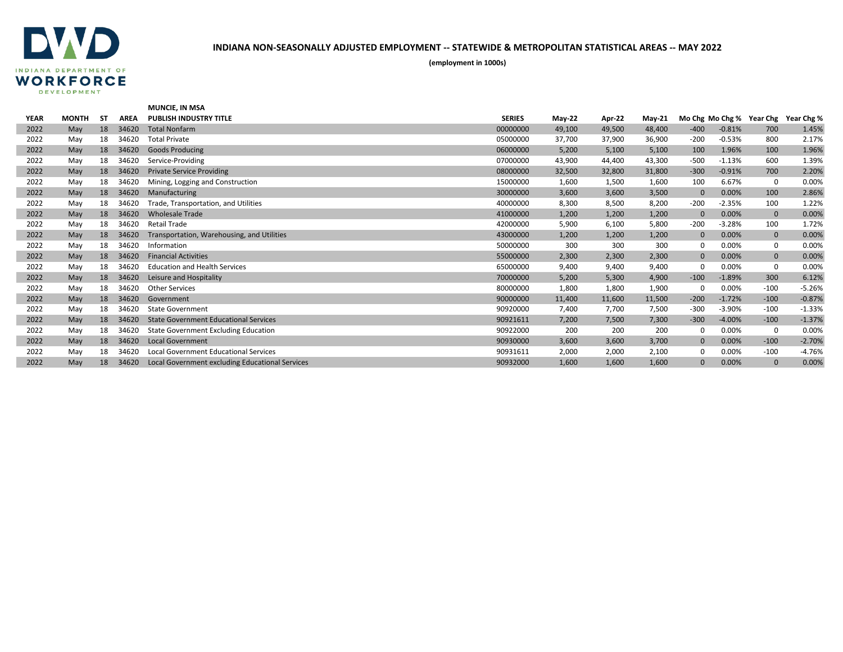

|             |              |    |             | <b>MUNCIE. IN MSA</b>                           |               |               |        |               |              |          |                          |            |
|-------------|--------------|----|-------------|-------------------------------------------------|---------------|---------------|--------|---------------|--------------|----------|--------------------------|------------|
| <b>YEAR</b> | <b>MONTH</b> | SΤ | <b>AREA</b> | <b>PUBLISH INDUSTRY TITLE</b>                   | <b>SERIES</b> | <b>May-22</b> | Apr-22 | <b>May-21</b> |              |          | Mo Chg Mo Chg % Year Chg | Year Chg % |
| 2022        | May          | 18 | 34620       | <b>Total Nonfarm</b>                            | 00000000      | 49,100        | 49,500 | 48,400        | $-400$       | $-0.81%$ | 700                      | 1.45%      |
| 2022        | May          | 18 | 34620       | <b>Total Private</b>                            | 05000000      | 37,700        | 37,900 | 36,900        | $-200$       | $-0.53%$ | 800                      | 2.17%      |
| 2022        | May          | 18 | 34620       | <b>Goods Producing</b>                          | 06000000      | 5,200         | 5,100  | 5,100         | 100          | 1.96%    | 100                      | 1.96%      |
| 2022        | May          | 18 | 34620       | Service-Providing                               | 07000000      | 43,900        | 44,400 | 43,300        | $-500$       | $-1.13%$ | 600                      | 1.39%      |
| 2022        | May          | 18 | 34620       | <b>Private Service Providing</b>                | 08000000      | 32,500        | 32,800 | 31,800        | $-300$       | $-0.91%$ | 700                      | 2.20%      |
| 2022        | May          | 18 | 34620       | Mining, Logging and Construction                | 15000000      | 1,600         | 1,500  | 1,600         | 100          | 6.67%    | 0                        | 0.00%      |
| 2022        | May          | 18 | 34620       | Manufacturing                                   | 30000000      | 3,600         | 3,600  | 3,500         | $\Omega$     | 0.00%    | 100                      | 2.86%      |
| 2022        | May          | 18 | 34620       | Trade, Transportation, and Utilities            | 40000000      | 8,300         | 8,500  | 8,200         | $-200$       | $-2.35%$ | 100                      | 1.22%      |
| 2022        | May          | 18 | 34620       | <b>Wholesale Trade</b>                          | 41000000      | 1,200         | 1,200  | 1,200         | $\mathbf{0}$ | 0.00%    | $\mathbf 0$              | 0.00%      |
| 2022        | May          | 18 | 34620       | <b>Retail Trade</b>                             | 42000000      | 5,900         | 6,100  | 5,800         | $-200$       | $-3.28%$ | 100                      | 1.72%      |
| 2022        | May          | 18 | 34620       | Transportation, Warehousing, and Utilities      | 43000000      | 1,200         | 1,200  | 1,200         | $\mathbf{0}$ | 0.00%    | $\mathbf 0$              | 0.00%      |
| 2022        | May          | 18 | 34620       | Information                                     | 50000000      | 300           | 300    | 300           | $\Omega$     | 0.00%    | 0                        | 0.00%      |
| 2022        | May          | 18 | 34620       | <b>Financial Activities</b>                     | 55000000      | 2,300         | 2,300  | 2,300         | $\mathbf{0}$ | 0.00%    | $\mathbf{0}$             | 0.00%      |
| 2022        | May          | 18 | 34620       | <b>Education and Health Services</b>            | 65000000      | 9,400         | 9,400  | 9,400         | $\Omega$     | 0.00%    | 0                        | 0.00%      |
| 2022        | May          | 18 | 34620       | Leisure and Hospitality                         | 70000000      | 5,200         | 5,300  | 4,900         | $-100$       | $-1.89%$ | 300                      | 6.12%      |
| 2022        | May          | 18 | 34620       | <b>Other Services</b>                           | 80000000      | 1,800         | 1,800  | 1,900         | $\Omega$     | 0.00%    | $-100$                   | $-5.26%$   |
| 2022        | May          | 18 | 34620       | Government                                      | 90000000      | 11,400        | 11,600 | 11,500        | $-200$       | $-1.72%$ | $-100$                   | $-0.87%$   |
| 2022        | May          | 18 | 34620       | <b>State Government</b>                         | 90920000      | 7,400         | 7,700  | 7,500         | $-300$       | $-3.90%$ | $-100$                   | $-1.33%$   |
| 2022        | May          | 18 | 34620       | <b>State Government Educational Services</b>    | 90921611      | 7,200         | 7,500  | 7,300         | $-300$       | $-4.00%$ | $-100$                   | $-1.37%$   |
| 2022        | May          | 18 | 34620       | <b>State Government Excluding Education</b>     | 90922000      | 200           | 200    | 200           | 0            | 0.00%    | 0                        | 0.00%      |
| 2022        | May          | 18 | 34620       | <b>Local Government</b>                         | 90930000      | 3,600         | 3,600  | 3,700         | $\mathbf{0}$ | 0.00%    | $-100$                   | $-2.70%$   |
| 2022        | May          | 18 | 34620       | Local Government Educational Services           | 90931611      | 2,000         | 2,000  | 2,100         | $\Omega$     | 0.00%    | $-100$                   | $-4.76%$   |
| 2022        | May          | 18 | 34620       | Local Government excluding Educational Services | 90932000      | 1,600         | 1,600  | 1,600         | $\Omega$     | 0.00%    | $\mathbf{0}$             | 0.00%      |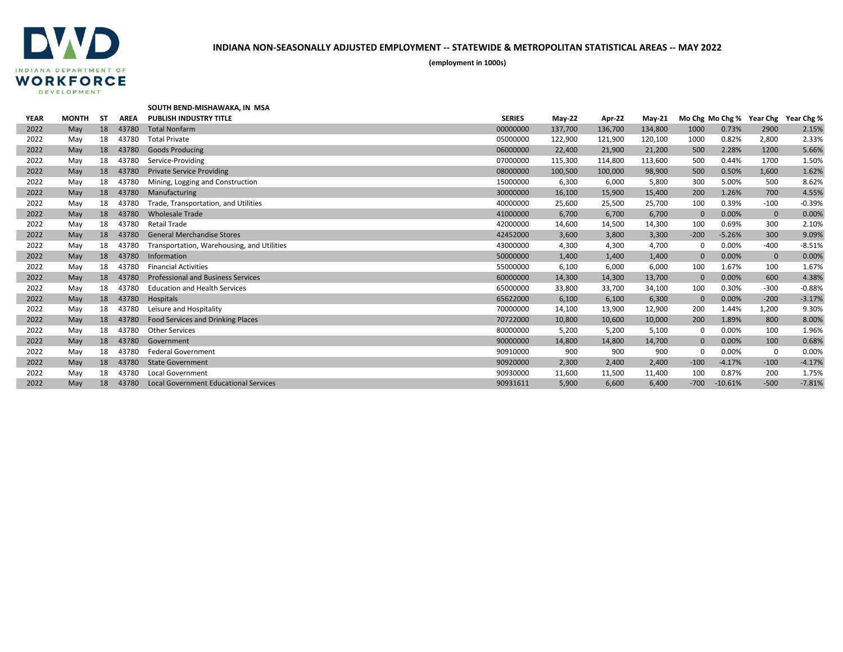

|             |              |    |             | SOUTH BEND-MISHAWAKA, IN MSA                 |               |          |         |          |              |           |                          |            |
|-------------|--------------|----|-------------|----------------------------------------------|---------------|----------|---------|----------|--------------|-----------|--------------------------|------------|
| <b>YEAR</b> | <b>MONTH</b> | SΤ | <b>AREA</b> | <b>PUBLISH INDUSTRY TITLE</b>                | <b>SERIES</b> | $May-22$ | Apr-22  | $May-21$ |              |           | Mo Chg Mo Chg % Year Chg | Year Chg % |
| 2022        | May          | 18 | 43780       | <b>Total Nonfarm</b>                         | 00000000      | 137,700  | 136,700 | 134,800  | 1000         | 0.73%     | 2900                     | 2.15%      |
| 2022        | May          | 18 | 43780       | <b>Total Private</b>                         | 05000000      | 122,900  | 121,900 | 120,100  | 1000         | 0.82%     | 2,800                    | 2.33%      |
| 2022        | May          | 18 | 43780       | <b>Goods Producing</b>                       | 06000000      | 22,400   | 21,900  | 21,200   | 500          | 2.28%     | 1200                     | 5.66%      |
| 2022        | May          | 18 | 43780       | Service-Providing                            | 07000000      | 115,300  | 114,800 | 113,600  | 500          | 0.44%     | 1700                     | 1.50%      |
| 2022        | May          | 18 | 43780       | <b>Private Service Providing</b>             | 08000000      | 100,500  | 100,000 | 98,900   | 500          | 0.50%     | 1,600                    | 1.62%      |
| 2022        | May          | 18 | 43780       | Mining, Logging and Construction             | 15000000      | 6,300    | 6,000   | 5,800    | 300          | 5.00%     | 500                      | 8.62%      |
| 2022        | May          | 18 | 43780       | Manufacturing                                | 30000000      | 16,100   | 15,900  | 15,400   | 200          | 1.26%     | 700                      | 4.55%      |
| 2022        | May          | 18 | 43780       | Trade, Transportation, and Utilities         | 40000000      | 25,600   | 25,500  | 25,700   | 100          | 0.39%     | $-100$                   | $-0.39%$   |
| 2022        | May          | 18 | 43780       | <b>Wholesale Trade</b>                       | 41000000      | 6,700    | 6,700   | 6,700    | $\mathbf{0}$ | 0.00%     | $\mathbf 0$              | 0.00%      |
| 2022        | May          | 18 | 43780       | <b>Retail Trade</b>                          | 42000000      | 14,600   | 14,500  | 14,300   | 100          | 0.69%     | 300                      | 2.10%      |
| 2022        | May          | 18 | 43780       | <b>General Merchandise Stores</b>            | 42452000      | 3,600    | 3,800   | 3,300    | $-200$       | $-5.26%$  | 300                      | 9.09%      |
| 2022        | May          | 18 | 43780       | Transportation, Warehousing, and Utilities   | 43000000      | 4,300    | 4,300   | 4,700    | $\Omega$     | 0.00%     | $-400$                   | $-8.51%$   |
| 2022        | May          | 18 | 43780       | Information                                  | 50000000      | 1,400    | 1,400   | 1,400    | $\mathbf{0}$ | 0.00%     | $\mathbf 0$              | 0.00%      |
| 2022        | May          | 18 | 43780       | <b>Financial Activities</b>                  | 55000000      | 6,100    | 6,000   | 6,000    | 100          | 1.67%     | 100                      | 1.67%      |
| 2022        | May          | 18 | 43780       | <b>Professional and Business Services</b>    | 60000000      | 14,300   | 14,300  | 13,700   | $\mathbf{0}$ | 0.00%     | 600                      | 4.38%      |
| 2022        | May          | 18 | 43780       | <b>Education and Health Services</b>         | 65000000      | 33,800   | 33,700  | 34,100   | 100          | 0.30%     | $-300$                   | $-0.88%$   |
| 2022        | May          | 18 | 43780       | Hospitals                                    | 65622000      | 6,100    | 6,100   | 6,300    | $\mathbf{0}$ | 0.00%     | $-200$                   | $-3.17%$   |
| 2022        | May          | 18 | 43780       | Leisure and Hospitality                      | 70000000      | 14,100   | 13,900  | 12,900   | 200          | 1.44%     | 1,200                    | 9.30%      |
| 2022        | May          | 18 | 43780       | <b>Food Services and Drinking Places</b>     | 70722000      | 10,800   | 10,600  | 10,000   | 200          | 1.89%     | 800                      | 8.00%      |
| 2022        | May          | 18 | 43780       | <b>Other Services</b>                        | 80000000      | 5,200    | 5,200   | 5,100    | 0            | 0.00%     | 100                      | 1.96%      |
| 2022        | May          | 18 | 43780       | Government                                   | 90000000      | 14,800   | 14,800  | 14,700   | $\mathbf{0}$ | 0.00%     | 100                      | 0.68%      |
| 2022        | May          | 18 | 43780       | <b>Federal Government</b>                    | 90910000      | 900      | 900     | 900      | 0            | 0.00%     | $\Omega$                 | 0.00%      |
| 2022        | May          | 18 | 43780       | <b>State Government</b>                      | 90920000      | 2,300    | 2,400   | 2,400    | $-100$       | $-4.17%$  | $-100$                   | $-4.17%$   |
| 2022        | May          | 18 | 43780       | <b>Local Government</b>                      | 90930000      | 11,600   | 11,500  | 11,400   | 100          | 0.87%     | 200                      | 1.75%      |
| 2022        | May          | 18 | 43780       | <b>Local Government Educational Services</b> | 90931611      | 5,900    | 6,600   | 6,400    | $-700$       | $-10.61%$ | $-500$                   | $-7.81%$   |